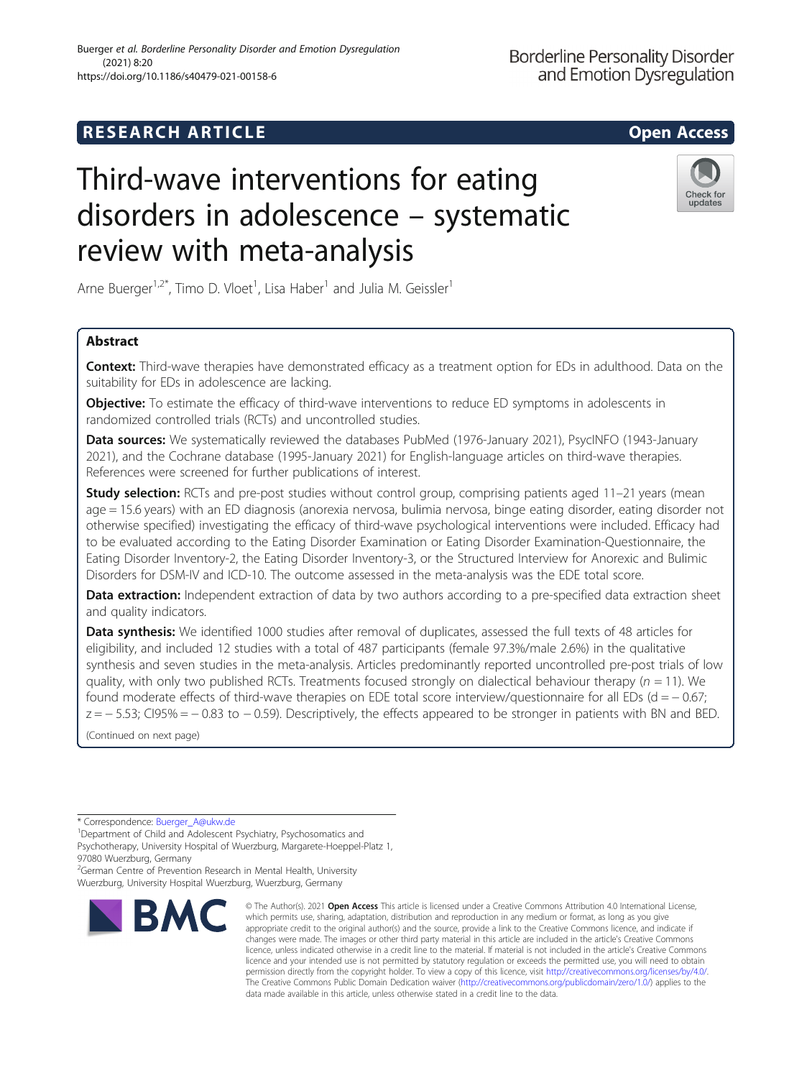# Buerger et al. Borderline Personality Disorder and Emotion Dysregulation (2021) 8:20 https://doi.org/10.1186/s40479-021-00158-6

# Third-wave interventions for eating disorders in adolescence – systematic review with meta-analysis

Arne Buerger<sup>1,2\*</sup>, Timo D. Vloet<sup>1</sup>, Lisa Haber<sup>1</sup> and Julia M. Geissler<sup>1</sup>

# Abstract

**Context:** Third-wave therapies have demonstrated efficacy as a treatment option for EDs in adulthood. Data on the suitability for EDs in adolescence are lacking.

**Objective:** To estimate the efficacy of third-wave interventions to reduce ED symptoms in adolescents in randomized controlled trials (RCTs) and uncontrolled studies.

Data sources: We systematically reviewed the databases PubMed (1976-January 2021), PsycINFO (1943-January 2021), and the Cochrane database (1995-January 2021) for English-language articles on third-wave therapies. References were screened for further publications of interest.

**Study selection:** RCTs and pre-post studies without control group, comprising patients aged 11–21 years (mean age = 15.6 years) with an ED diagnosis (anorexia nervosa, bulimia nervosa, binge eating disorder, eating disorder not otherwise specified) investigating the efficacy of third-wave psychological interventions were included. Efficacy had to be evaluated according to the Eating Disorder Examination or Eating Disorder Examination-Questionnaire, the Eating Disorder Inventory-2, the Eating Disorder Inventory-3, or the Structured Interview for Anorexic and Bulimic Disorders for DSM-IV and ICD-10. The outcome assessed in the meta-analysis was the EDE total score.

Data extraction: Independent extraction of data by two authors according to a pre-specified data extraction sheet and quality indicators.

Data synthesis: We identified 1000 studies after removal of duplicates, assessed the full texts of 48 articles for eligibility, and included 12 studies with a total of 487 participants (female 97.3%/male 2.6%) in the qualitative synthesis and seven studies in the meta-analysis. Articles predominantly reported uncontrolled pre-post trials of low quality, with only two published RCTs. Treatments focused strongly on dialectical behaviour therapy ( $n = 11$ ). We found moderate effects of third-wave therapies on EDE total score interview/questionnaire for all EDs (d =  $-0.67$ ; z = − 5.53; CI95% = − 0.83 to − 0.59). Descriptively, the effects appeared to be stronger in patients with BN and BED.

(Continued on next page)

\* Correspondence: [Buerger\\_A@ukw.de](mailto:Buerger_A@ukw.de) <sup>1</sup>

<sup>1</sup>Department of Child and Adolescent Psychiatry, Psychosomatics and

Psychotherapy, University Hospital of Wuerzburg, Margarete-Hoeppel-Platz 1, 97080 Wuerzburg, Germany

<sup>2</sup>German Centre of Prevention Research in Mental Health, University Wuerzburg, University Hospital Wuerzburg, Wuerzburg, Germany



<sup>©</sup> The Author(s), 2021 **Open Access** This article is licensed under a Creative Commons Attribution 4.0 International License, which permits use, sharing, adaptation, distribution and reproduction in any medium or format, as long as you give appropriate credit to the original author(s) and the source, provide a link to the Creative Commons licence, and indicate if changes were made. The images or other third party material in this article are included in the article's Creative Commons licence, unless indicated otherwise in a credit line to the material. If material is not included in the article's Creative Commons licence and your intended use is not permitted by statutory regulation or exceeds the permitted use, you will need to obtain permission directly from the copyright holder. To view a copy of this licence, visit [http://creativecommons.org/licenses/by/4.0/.](http://creativecommons.org/licenses/by/4.0/) The Creative Commons Public Domain Dedication waiver [\(http://creativecommons.org/publicdomain/zero/1.0/](http://creativecommons.org/publicdomain/zero/1.0/)) applies to the data made available in this article, unless otherwise stated in a credit line to the data.

**Borderline Personality Disorder** and Emotion Dysregulation

Check for

updates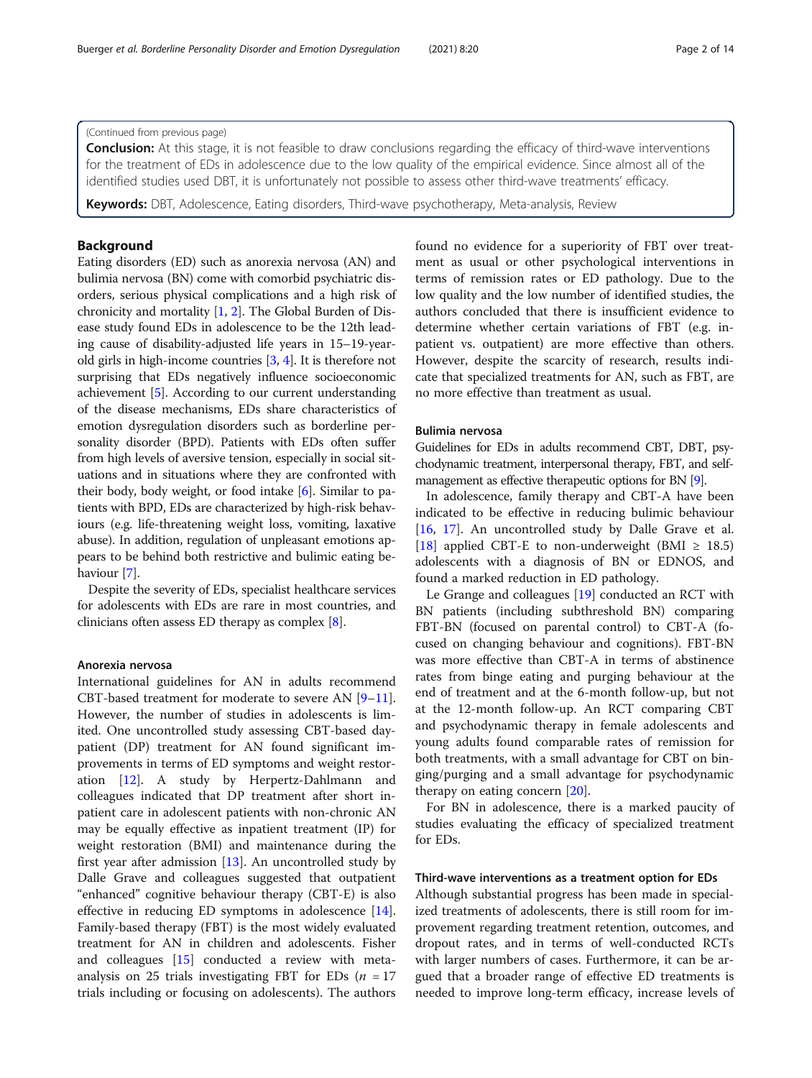**Conclusion:** At this stage, it is not feasible to draw conclusions regarding the efficacy of third-wave interventions for the treatment of EDs in adolescence due to the low quality of the empirical evidence. Since almost all of the identified studies used DBT, it is unfortunately not possible to assess other third-wave treatments' efficacy.

**Keywords:** DBT, Adolescence, Eating disorders, Third-wave psychotherapy, Meta-analysis, Review

# Background

Eating disorders (ED) such as anorexia nervosa (AN) and bulimia nervosa (BN) come with comorbid psychiatric disorders, serious physical complications and a high risk of chronicity and mortality [[1,](#page-11-0) [2](#page-11-0)]. The Global Burden of Disease study found EDs in adolescence to be the 12th leading cause of disability-adjusted life years in 15–19-yearold girls in high-income countries [\[3,](#page-11-0) [4](#page-11-0)]. It is therefore not surprising that EDs negatively influence socioeconomic achievement [\[5](#page-11-0)]. According to our current understanding of the disease mechanisms, EDs share characteristics of emotion dysregulation disorders such as borderline personality disorder (BPD). Patients with EDs often suffer from high levels of aversive tension, especially in social situations and in situations where they are confronted with their body, body weight, or food intake [\[6](#page-11-0)]. Similar to patients with BPD, EDs are characterized by high-risk behaviours (e.g. life-threatening weight loss, vomiting, laxative abuse). In addition, regulation of unpleasant emotions appears to be behind both restrictive and bulimic eating behaviour [[7\]](#page-12-0).

Despite the severity of EDs, specialist healthcare services for adolescents with EDs are rare in most countries, and clinicians often assess ED therapy as complex [[8\]](#page-12-0).

#### Anorexia nervosa

International guidelines for AN in adults recommend CBT-based treatment for moderate to severe AN [[9](#page-12-0)–[11](#page-12-0)]. However, the number of studies in adolescents is limited. One uncontrolled study assessing CBT-based daypatient (DP) treatment for AN found significant improvements in terms of ED symptoms and weight restoration [\[12](#page-12-0)]. A study by Herpertz-Dahlmann and colleagues indicated that DP treatment after short inpatient care in adolescent patients with non-chronic AN may be equally effective as inpatient treatment (IP) for weight restoration (BMI) and maintenance during the first year after admission [[13\]](#page-12-0). An uncontrolled study by Dalle Grave and colleagues suggested that outpatient "enhanced" cognitive behaviour therapy (CBT-E) is also effective in reducing ED symptoms in adolescence [\[14](#page-12-0)]. Family-based therapy (FBT) is the most widely evaluated treatment for AN in children and adolescents. Fisher and colleagues [[15](#page-12-0)] conducted a review with metaanalysis on 25 trials investigating FBT for EDs ( $n = 17$ ) trials including or focusing on adolescents). The authors found no evidence for a superiority of FBT over treatment as usual or other psychological interventions in terms of remission rates or ED pathology. Due to the low quality and the low number of identified studies, the authors concluded that there is insufficient evidence to determine whether certain variations of FBT (e.g. inpatient vs. outpatient) are more effective than others. However, despite the scarcity of research, results indicate that specialized treatments for AN, such as FBT, are no more effective than treatment as usual.

# Bulimia nervosa

Guidelines for EDs in adults recommend CBT, DBT, psychodynamic treatment, interpersonal therapy, FBT, and selfmanagement as effective therapeutic options for BN [\[9\]](#page-12-0).

In adolescence, family therapy and CBT-A have been indicated to be effective in reducing bulimic behaviour [[16,](#page-12-0) [17\]](#page-12-0). An uncontrolled study by Dalle Grave et al. [[18\]](#page-12-0) applied CBT-E to non-underweight (BMI  $\geq$  18.5) adolescents with a diagnosis of BN or EDNOS, and found a marked reduction in ED pathology.

Le Grange and colleagues [\[19\]](#page-12-0) conducted an RCT with BN patients (including subthreshold BN) comparing FBT-BN (focused on parental control) to CBT-A (focused on changing behaviour and cognitions). FBT-BN was more effective than CBT-A in terms of abstinence rates from binge eating and purging behaviour at the end of treatment and at the 6-month follow-up, but not at the 12-month follow-up. An RCT comparing CBT and psychodynamic therapy in female adolescents and young adults found comparable rates of remission for both treatments, with a small advantage for CBT on binging/purging and a small advantage for psychodynamic therapy on eating concern [\[20](#page-12-0)].

For BN in adolescence, there is a marked paucity of studies evaluating the efficacy of specialized treatment for EDs.

#### Third-wave interventions as a treatment option for EDs

Although substantial progress has been made in specialized treatments of adolescents, there is still room for improvement regarding treatment retention, outcomes, and dropout rates, and in terms of well-conducted RCTs with larger numbers of cases. Furthermore, it can be argued that a broader range of effective ED treatments is needed to improve long-term efficacy, increase levels of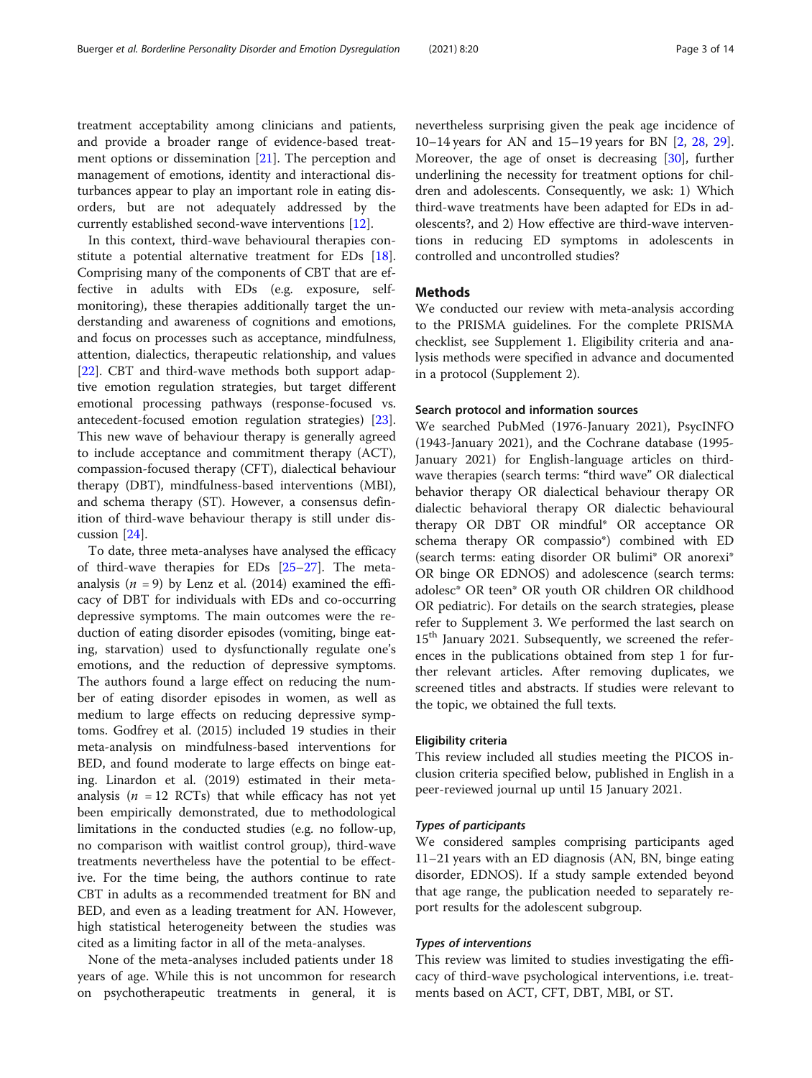treatment acceptability among clinicians and patients, and provide a broader range of evidence-based treatment options or dissemination [\[21](#page-12-0)]. The perception and management of emotions, identity and interactional disturbances appear to play an important role in eating disorders, but are not adequately addressed by the currently established second-wave interventions [[12\]](#page-12-0).

In this context, third-wave behavioural therapies constitute a potential alternative treatment for EDs [\[18](#page-12-0)]. Comprising many of the components of CBT that are effective in adults with EDs (e.g. exposure, selfmonitoring), these therapies additionally target the understanding and awareness of cognitions and emotions, and focus on processes such as acceptance, mindfulness, attention, dialectics, therapeutic relationship, and values [[22\]](#page-12-0). CBT and third-wave methods both support adaptive emotion regulation strategies, but target different emotional processing pathways (response-focused vs. antecedent-focused emotion regulation strategies) [\[23](#page-12-0)]. This new wave of behaviour therapy is generally agreed to include acceptance and commitment therapy (ACT), compassion-focused therapy (CFT), dialectical behaviour therapy (DBT), mindfulness-based interventions (MBI), and schema therapy (ST). However, a consensus definition of third-wave behaviour therapy is still under discussion [\[24](#page-12-0)].

To date, three meta-analyses have analysed the efficacy of third-wave therapies for EDs [\[25](#page-12-0)–[27\]](#page-12-0). The metaanalysis ( $n = 9$ ) by Lenz et al. (2014) examined the efficacy of DBT for individuals with EDs and co-occurring depressive symptoms. The main outcomes were the reduction of eating disorder episodes (vomiting, binge eating, starvation) used to dysfunctionally regulate one's emotions, and the reduction of depressive symptoms. The authors found a large effect on reducing the number of eating disorder episodes in women, as well as medium to large effects on reducing depressive symptoms. Godfrey et al. (2015) included 19 studies in their meta-analysis on mindfulness-based interventions for BED, and found moderate to large effects on binge eating. Linardon et al. (2019) estimated in their metaanalysis ( $n = 12$  RCTs) that while efficacy has not yet been empirically demonstrated, due to methodological limitations in the conducted studies (e.g. no follow-up, no comparison with waitlist control group), third-wave treatments nevertheless have the potential to be effective. For the time being, the authors continue to rate CBT in adults as a recommended treatment for BN and BED, and even as a leading treatment for AN. However, high statistical heterogeneity between the studies was cited as a limiting factor in all of the meta-analyses.

None of the meta-analyses included patients under 18 years of age. While this is not uncommon for research on psychotherapeutic treatments in general, it is

nevertheless surprising given the peak age incidence of 10–14 years for AN and 15–19 years for BN [[2,](#page-11-0) [28](#page-12-0), [29](#page-12-0)]. Moreover, the age of onset is decreasing [\[30\]](#page-12-0), further underlining the necessity for treatment options for children and adolescents. Consequently, we ask: 1) Which third-wave treatments have been adapted for EDs in adolescents?, and 2) How effective are third-wave interventions in reducing ED symptoms in adolescents in controlled and uncontrolled studies?

# Methods

We conducted our review with meta-analysis according to the PRISMA guidelines. For the complete PRISMA checklist, see Supplement 1. Eligibility criteria and analysis methods were specified in advance and documented in a protocol (Supplement 2).

#### Search protocol and information sources

We searched PubMed (1976-January 2021), PsycINFO (1943-January 2021), and the Cochrane database (1995- January 2021) for English-language articles on thirdwave therapies (search terms: "third wave" OR dialectical behavior therapy OR dialectical behaviour therapy OR dialectic behavioral therapy OR dialectic behavioural therapy OR DBT OR mindful\* OR acceptance OR schema therapy OR compassio\*) combined with ED (search terms: eating disorder OR bulimi\* OR anorexi\* OR binge OR EDNOS) and adolescence (search terms: adolesc\* OR teen\* OR youth OR children OR childhood OR pediatric). For details on the search strategies, please refer to Supplement 3. We performed the last search on 15<sup>th</sup> January 2021. Subsequently, we screened the references in the publications obtained from step 1 for further relevant articles. After removing duplicates, we screened titles and abstracts. If studies were relevant to the topic, we obtained the full texts.

#### Eligibility criteria

This review included all studies meeting the PICOS inclusion criteria specified below, published in English in a peer-reviewed journal up until 15 January 2021.

#### Types of participants

We considered samples comprising participants aged 11–21 years with an ED diagnosis (AN, BN, binge eating disorder, EDNOS). If a study sample extended beyond that age range, the publication needed to separately report results for the adolescent subgroup.

### Types of interventions

This review was limited to studies investigating the efficacy of third-wave psychological interventions, i.e. treatments based on ACT, CFT, DBT, MBI, or ST.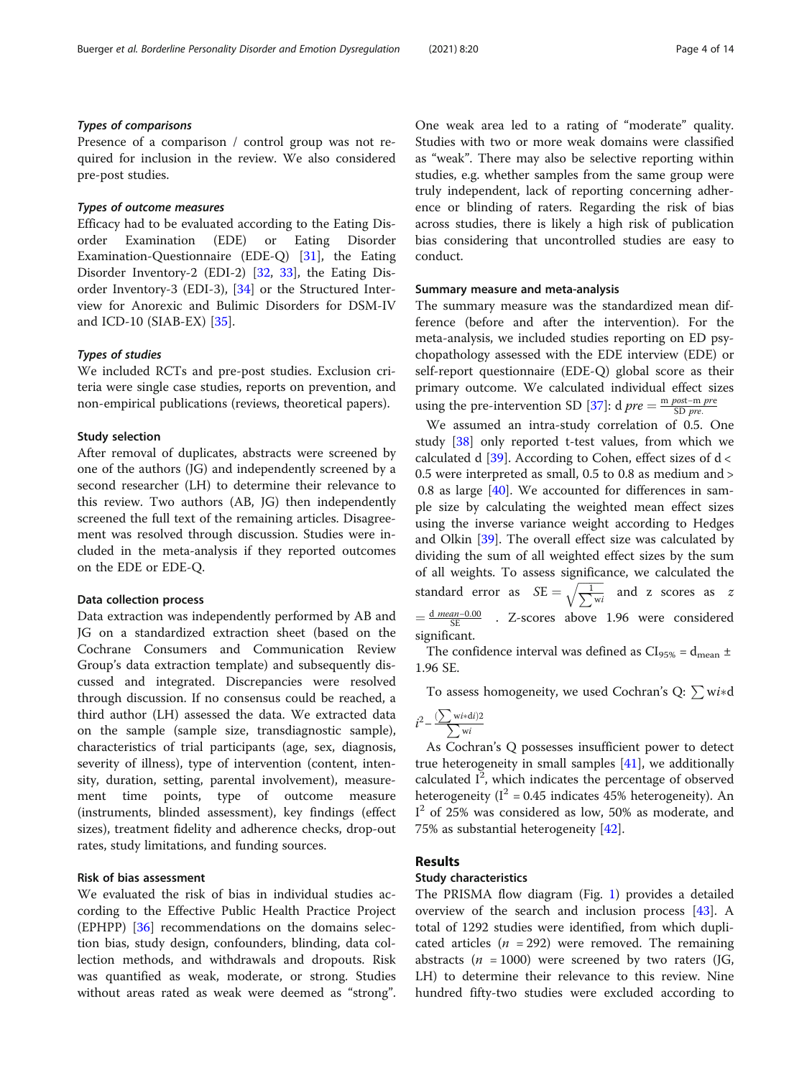# Types of comparisons

Presence of a comparison / control group was not required for inclusion in the review. We also considered pre-post studies.

# Types of outcome measures

Efficacy had to be evaluated according to the Eating Disorder Examination (EDE) or Eating Disorder Examination-Questionnaire (EDE-Q) [[31](#page-12-0)], the Eating Disorder Inventory-2 (EDI-2) [[32](#page-12-0), [33](#page-12-0)], the Eating Disorder Inventory-3 (EDI-3), [[34\]](#page-12-0) or the Structured Interview for Anorexic and Bulimic Disorders for DSM-IV and ICD-10 (SIAB-EX) [\[35](#page-12-0)].

#### Types of studies

We included RCTs and pre-post studies. Exclusion criteria were single case studies, reports on prevention, and non-empirical publications (reviews, theoretical papers).

#### Study selection

After removal of duplicates, abstracts were screened by one of the authors (JG) and independently screened by a second researcher (LH) to determine their relevance to this review. Two authors (AB, JG) then independently screened the full text of the remaining articles. Disagreement was resolved through discussion. Studies were included in the meta-analysis if they reported outcomes on the EDE or EDE-Q.

#### Data collection process

Data extraction was independently performed by AB and JG on a standardized extraction sheet (based on the Cochrane Consumers and Communication Review Group's data extraction template) and subsequently discussed and integrated. Discrepancies were resolved through discussion. If no consensus could be reached, a third author (LH) assessed the data. We extracted data on the sample (sample size, transdiagnostic sample), characteristics of trial participants (age, sex, diagnosis, severity of illness), type of intervention (content, intensity, duration, setting, parental involvement), measurement time points, type of outcome measure (instruments, blinded assessment), key findings (effect sizes), treatment fidelity and adherence checks, drop-out rates, study limitations, and funding sources.

# Risk of bias assessment

We evaluated the risk of bias in individual studies according to the Effective Public Health Practice Project (EPHPP) [\[36](#page-12-0)] recommendations on the domains selection bias, study design, confounders, blinding, data collection methods, and withdrawals and dropouts. Risk was quantified as weak, moderate, or strong. Studies without areas rated as weak were deemed as "strong".

One weak area led to a rating of "moderate" quality. Studies with two or more weak domains were classified as "weak". There may also be selective reporting within studies, e.g. whether samples from the same group were truly independent, lack of reporting concerning adherence or blinding of raters. Regarding the risk of bias across studies, there is likely a high risk of publication bias considering that uncontrolled studies are easy to conduct.

#### Summary measure and meta-analysis

The summary measure was the standardized mean difference (before and after the intervention). For the meta-analysis, we included studies reporting on ED psychopathology assessed with the EDE interview (EDE) or self-report questionnaire (EDE-Q) global score as their primary outcome. We calculated individual effect sizes using the pre-intervention SD [\[37\]](#page-12-0): d  $pre = \frac{m \, post - m \, pre}{SD \, pre}$ .

We assumed an intra-study correlation of 0.5. One study [[38\]](#page-12-0) only reported t-test values, from which we calculated d  $[39]$  $[39]$ . According to Cohen, effect sizes of d < 0.5 were interpreted as small, 0.5 to 0.8 as medium and > 0.8 as large [\[40\]](#page-12-0). We accounted for differences in sample size by calculating the weighted mean effect sizes using the inverse variance weight according to Hedges and Olkin [\[39\]](#page-12-0). The overall effect size was calculated by dividing the sum of all weighted effect sizes by the sum of all weights. To assess significance, we calculated the q or all weights. To assess significant<br>standard error as  $SE = \sqrt{\frac{1}{\sum_{w_i} w_i}}$  $\frac{1}{w_i}$  and z scores as z  $=\frac{d \text{ mean}-0.00}{SE}$  . Z-scores above 1.96 were considered significant.

The confidence interval was defined as  $CI_{95\%} = d_{mean} \pm$ 1.96 SE.

To assess homogeneity, we used Cochran's Q:  $\sum w i*$ d

$$
i^2 - \frac{(\sum \text{wi} * \text{di})2}{\sum \text{wi}}
$$

As Cochran's Q possesses insufficient power to detect true heterogeneity in small samples  $[41]$  $[41]$ , we additionally calculated  $I^2$ , which indicates the percentage of observed heterogeneity ( $I^2 = 0.45$  indicates 45% heterogeneity). An I<sup>2</sup> of 25% was considered as low, 50% as moderate, and 75% as substantial heterogeneity [\[42](#page-12-0)].

# Results

#### Study characteristics

The PRISMA flow diagram (Fig. [1\)](#page-4-0) provides a detailed overview of the search and inclusion process [\[43\]](#page-12-0). A total of 1292 studies were identified, from which duplicated articles ( $n = 292$ ) were removed. The remaining abstracts ( $n = 1000$ ) were screened by two raters (JG, LH) to determine their relevance to this review. Nine hundred fifty-two studies were excluded according to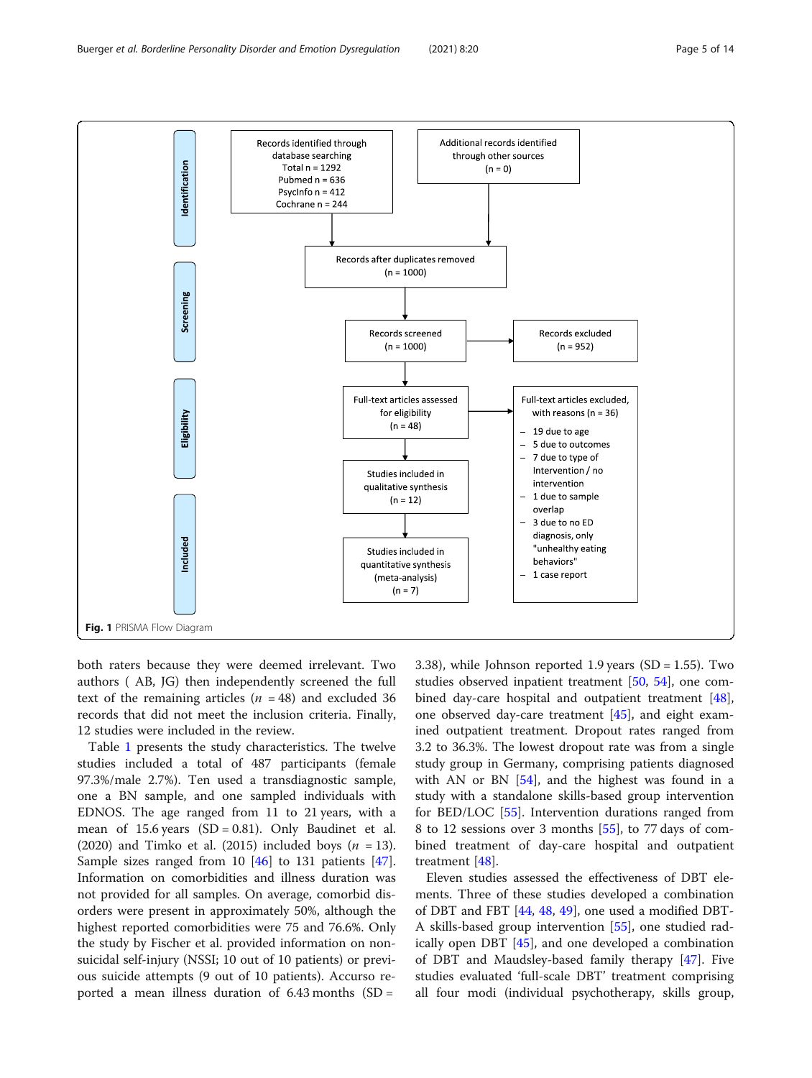<span id="page-4-0"></span>

both raters because they were deemed irrelevant. Two authors ( AB, JG) then independently screened the full text of the remaining articles ( $n = 48$ ) and excluded 36 records that did not meet the inclusion criteria. Finally, 12 studies were included in the review.

Table [1](#page-5-0) presents the study characteristics. The twelve studies included a total of 487 participants (female 97.3%/male 2.7%). Ten used a transdiagnostic sample, one a BN sample, and one sampled individuals with EDNOS. The age ranged from 11 to 21 years, with a mean of 15.6 years  $(SD = 0.81)$ . Only Baudinet et al. (2020) and Timko et al. (2015) included boys  $(n = 13)$ . Sample sizes ranged from 10 [\[46\]](#page-12-0) to 131 patients [\[47](#page-12-0)]. Information on comorbidities and illness duration was not provided for all samples. On average, comorbid disorders were present in approximately 50%, although the highest reported comorbidities were 75 and 76.6%. Only the study by Fischer et al. provided information on nonsuicidal self-injury (NSSI; 10 out of 10 patients) or previous suicide attempts (9 out of 10 patients). Accurso reported a mean illness duration of  $6.43$  months  $(SD =$ 

3.38), while Johnson reported 1.9 years (SD = 1.55). Two studies observed inpatient treatment [[50,](#page-13-0) [54](#page-13-0)], one combined day-care hospital and outpatient treatment [\[48](#page-12-0)], one observed day-care treatment [\[45](#page-12-0)], and eight examined outpatient treatment. Dropout rates ranged from 3.2 to 36.3%. The lowest dropout rate was from a single study group in Germany, comprising patients diagnosed with AN or BN  $[54]$  $[54]$ , and the highest was found in a study with a standalone skills-based group intervention for BED/LOC [[55\]](#page-13-0). Intervention durations ranged from 8 to 12 sessions over 3 months [\[55\]](#page-13-0), to 77 days of combined treatment of day-care hospital and outpatient treatment [[48\]](#page-12-0).

Eleven studies assessed the effectiveness of DBT elements. Three of these studies developed a combination of DBT and FBT [\[44](#page-12-0), [48](#page-12-0), [49](#page-13-0)], one used a modified DBT-A skills-based group intervention [[55](#page-13-0)], one studied radically open DBT [[45\]](#page-12-0), and one developed a combination of DBT and Maudsley-based family therapy [[47\]](#page-12-0). Five studies evaluated 'full-scale DBT' treatment comprising all four modi (individual psychotherapy, skills group,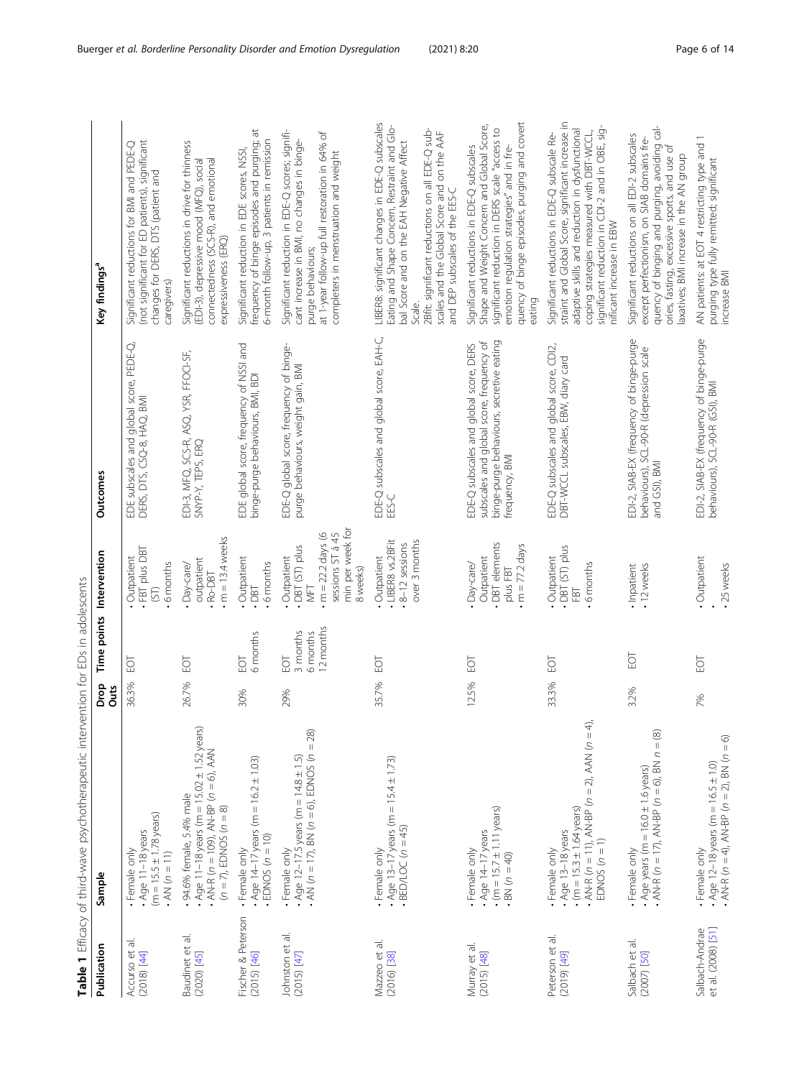<span id="page-5-0"></span>

|                                      | Table 1 Efficacy of third-wave psychotherapeutic intervention for EDs in adolescents                                                               |              |                                          |                                                                                                              |                                                                                                                                                  |                                                                                                                                                                                                                                                                                         |
|--------------------------------------|----------------------------------------------------------------------------------------------------------------------------------------------------|--------------|------------------------------------------|--------------------------------------------------------------------------------------------------------------|--------------------------------------------------------------------------------------------------------------------------------------------------|-----------------------------------------------------------------------------------------------------------------------------------------------------------------------------------------------------------------------------------------------------------------------------------------|
| Publication                          | Sample                                                                                                                                             | Drop<br>Outs | Time points Intervention                 |                                                                                                              | Outcomes                                                                                                                                         | Key findings <sup>a</sup>                                                                                                                                                                                                                                                               |
| Accurso et al.<br>$(2018)$ [44]      | $(m = 15.5 \pm 1.78 \text{ years})$<br>$Age 11-18$ years<br>Female only<br>$. A N (n = 11)$                                                        | 36.3%        | EOT                                      | . FBT plus DBT<br>Outpatient<br>· 6 months<br>(5)                                                            | EDE subscales and global score, PEDE-Q,<br>DERS, DTS, CSQ-8, HAQ, BMI                                                                            | (not significant for ED patients), significant<br>Significant reductions for BMI and PEDE-Q<br>changes for DERS, DTS (patient and<br>caregivers)                                                                                                                                        |
| Baudinet et al.<br>$(2020)$ [45]     | Age 11-18 years (m = $15.02 \pm 1.52$ years)<br>$A N + R$ (n = 109), AN-BP (n = 6), AAN<br>94.6% female, 5.4% male<br>$(n = 7)$ , EDNOS $(n = 8)$  | 26.7%        | <b>FOT</b>                               | $m = 13.4$ weeks<br>outpatient<br>Day-care/<br>Ro-DBT                                                        | EDI-3, MFQ, SCS-R, ASQ, YSR, FFOCI-SF,<br>SNYP-Y, TEPS, ERQ                                                                                      | Significant reductions in drive for thinness<br>connectedness (SCS-R), and emotional<br>(EDI-3), depressive mood (MFQ), social<br>expressiveness (ERQ)                                                                                                                                  |
| Fischer & Peterson<br>$(2015)$ [46]  | $. \angle$ ge 14–17 years (m = 16.2 ± 1.03)<br>EDNOS ( $n = 10$ )<br>· Female only                                                                 | 30%          | 6 months<br>EOT                          | Outpatient<br>6 months<br>DBT                                                                                | EDE global score, frequency of NSSI and<br>binge-purge behaviours, BMI, BDI                                                                      | frequency of binge episodes and purging; at<br>6-month follow-up, 3 patients in remission<br>Significant reduction in EDE scores, NSSI,                                                                                                                                                 |
| Johnston et al.<br>$(2015)$ [47]     | $AX (n = 17), BN (n = 6), EDNOS (n = 28)$<br>Age $12-17.5$ years (m = $14.8 \pm 1.5$ )<br>Female only                                              | 29%          | 12 months<br>3 months<br>6 months<br>FOT | min per week for<br>sessions ST à 45<br>$m = 22.2$ days (6<br>DBT (ST) plus<br>Outpatient<br>8 weeks)<br>IEN | EDE-Q global score, frequency of binge-<br>purge behaviours, weight gain, BMI                                                                    | Significant reduction in EDE-Q scores; signifi-<br>at 1-year follow-up full restoration in 64% of<br>cant increase in BMI, no changes in binge-<br>completers in menstruation and weight<br>purge behaviours;                                                                           |
| Mazzeo et al.<br>$(2016)$ [38]       | $. Age 13-17 years (m = 15.4 \pm 1.73)$<br>$-BED/LOC(n = 45)$<br>Female only                                                                       | 35.7%        | <b>PO</b>                                | · LIBER8 vs.2BFit<br>over 3 months<br>8-12 sessions<br>Outpatient                                            | EDE-Q subscales and global score, EAH-C,<br>EES-C                                                                                                | LIBER8: significant changes in EDE-Q subscales<br>Eating and Shape Concern, Restraint and Glo-<br>2Bfit: significant reductions on all EDE-Q sub-<br>scales and the Global Score and on the AAF<br>bal Score and on the EAH Negative Affect<br>and DEP subscales of the EES-C<br>Scale. |
| Murray et al.<br>$(2015)$ [48]       | $(m = 15.7 \pm 1.11$ years)<br>Age 14-17 years<br>Female only<br>BN $(n = 40)$                                                                     | 12.5%        | БŪ                                       | DBT elements<br>$\cdot$ m = 77.2 days<br>Outpatient<br>Day-care/<br>plus FBT                                 | binge-purge behaviours, secretive eating<br>subscales and global score, frequency of<br>EDE-Q subscales and global score, DERS<br>frequency, BMI | quency of binge episodes, purging and covert<br>Shape and Weight Concern and Global Score,<br>significant reduction in DERS scale "access to<br>emotion regulation strategies" and in fre-<br>Significant reductions in EDE-Q subscales<br>eating                                       |
| Peterson et al.<br>$[6p]$ (6107)     | $AX-R$ ( $n = 11$ ), $AN-BP$ ( $n = 2$ ), $AAN$ ( $n = 4$ ),<br>$(m = 15.3 \pm 1.64$ years)<br>$Aqe$ 13-18 years<br>EDNOS $(n = 1)$<br>Female only | 33.3%        | <b>POI</b>                               | DBT (ST) plus<br>Outpatient<br>6 months<br>FBT                                                               | EDE-Q subscales and global score, CDI2,<br>DBT-WCCL subscales, EBW, diary card                                                                   | straint and Global Score, significant increase in<br>significant reduction in CDI-2 and in OBE, sig-<br>adaptive skills and reduction in dysfunctional<br>coping strategies measured with DBT-WCCL,<br>Significant reductions in EDE-Q subscale Re-<br>nificant increase in EBW         |
| Salbach et al.<br>$(2007)$ [50]      | AN-R ( $n = 17$ ), AN-BP ( $n = 6$ ), BN $n = (8)$<br>Age years (m = $16.0 \pm 1.6$ years)<br>· Female only                                        | 3.2%         | io                                       | · 12 weeks<br>· Inpatient                                                                                    | EDI-2, SIAB-EX (frequency of binge-purge<br>behaviours), SCL-90-R (depression scale<br>and GSI), BMI                                             | quency of binging and purging, avoiding cal-<br>Significant reductions on all EDI-2 subscales<br>except perfectionism, on SIAB domains fre-<br>₻<br>axatives; BMI increase in the AN group<br>ories, fasting, excessive sports, and use                                                 |
| et al. (2008) [51]<br>Salbach-Andrae | $AX-R$ $(n = 4)$ , $AN-BP$ $(n = 2)$ , $BN(n = 6)$<br>Age $12-18$ years (m = $16.5 \pm 1.0$ )<br>· Female only                                     | 7%           | FOT                                      | · Outpatient<br>- 25 weeks                                                                                   | EDI-2, SIAB-EX (frequency of binge-purge<br>behaviours), SCL-90-R (GSI), BMI                                                                     | AN patients: at EOT 4 restricting type and<br>purging type fully remitted; significant<br>increase BMI                                                                                                                                                                                  |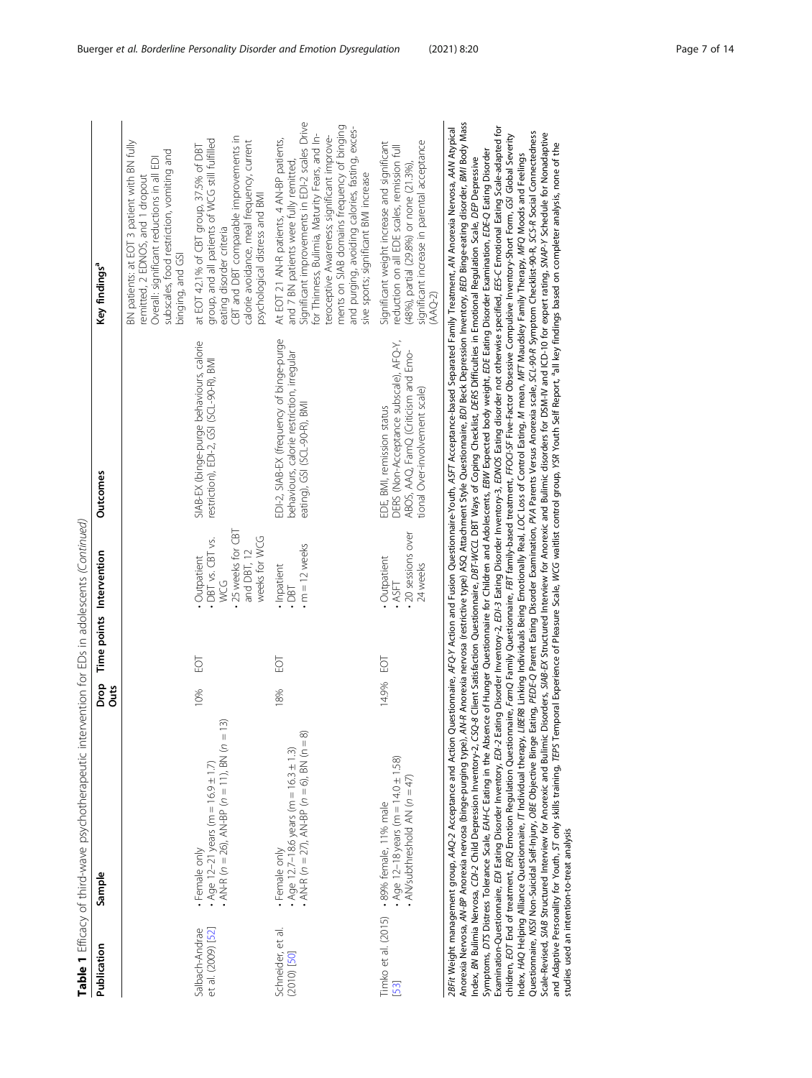| Š                             |
|-------------------------------|
| J                             |
|                               |
|                               |
| ļ                             |
|                               |
| j<br>ζ                        |
|                               |
|                               |
| ļ                             |
| l                             |
|                               |
|                               |
| $\overline{a}$                |
|                               |
| ۱                             |
| l                             |
| ١                             |
|                               |
|                               |
|                               |
| Ì<br>ו)<br>ו                  |
| j                             |
| ,                             |
|                               |
| ļ                             |
|                               |
| $\frac{1}{2}$                 |
|                               |
|                               |
| $\frac{1}{2}$                 |
|                               |
| $\overline{\phantom{a}}$      |
| $\overline{\phantom{a}}$      |
|                               |
| りりりい                          |
|                               |
|                               |
|                               |
|                               |
| i                             |
|                               |
| j                             |
| I<br>$\overline{\phantom{a}}$ |
|                               |
|                               |
|                               |
| j                             |
|                               |
|                               |
| l                             |
| ĺ                             |
|                               |
|                               |
| <br> <br> <br>١               |
|                               |
| í                             |
|                               |
| $\overline{a}$                |
| j                             |
| j                             |
|                               |
| $\overline{a}$                |
| $\vdots$                      |
| L                             |
| $\overline{\phantom{0}}$      |
|                               |
|                               |
| $\vdots$<br>able              |
|                               |
|                               |
| 1                             |

| Publication                          | Sample                                                                                                                                                                                                                                                                                                                                                                                                                                                                                                                                                                                                                                     | Drop<br>Outs |           | Time points Intervention                                                                       | <b>Outcomes</b>                                                                                                                              | Key findings <sup>a</sup>                                                                                                                                                                                                                                                                                                                                                                                                                                                                                                                                                                                                 |
|--------------------------------------|--------------------------------------------------------------------------------------------------------------------------------------------------------------------------------------------------------------------------------------------------------------------------------------------------------------------------------------------------------------------------------------------------------------------------------------------------------------------------------------------------------------------------------------------------------------------------------------------------------------------------------------------|--------------|-----------|------------------------------------------------------------------------------------------------|----------------------------------------------------------------------------------------------------------------------------------------------|---------------------------------------------------------------------------------------------------------------------------------------------------------------------------------------------------------------------------------------------------------------------------------------------------------------------------------------------------------------------------------------------------------------------------------------------------------------------------------------------------------------------------------------------------------------------------------------------------------------------------|
|                                      |                                                                                                                                                                                                                                                                                                                                                                                                                                                                                                                                                                                                                                            |              |           |                                                                                                |                                                                                                                                              | BN patients: at EOT 3 patient with BN fully<br>subscales, food restriction, vomiting and<br>Overall: significant reductions in all EDI<br>remitted, 2 EDNOS, and 1 dropout<br>binging, and GSI                                                                                                                                                                                                                                                                                                                                                                                                                            |
| et al. (2009) [52]<br>Salbach-Andrae | 3<br>AN-R ( $n = 26$ ), AN-BP ( $n = 11$ ), BN ( $n = 1$<br>Age 12-21 years (m = $16.9 \pm 1.7$ )<br>Female only                                                                                                                                                                                                                                                                                                                                                                                                                                                                                                                           | 10%          | 59        | . 25 weeks for CBT<br>weeks for WCG<br>· DBT vs. CBT vs.<br>and DBT, 12<br>· Outpatient<br>VCG | SIAB-EX (binge-purge behaviours, calorie<br>restriction), EDI-2, GSI (SCL-90-R), BMI                                                         | CBT and DBT comparable improvements in<br>group, and all patients of WCG still fulfilled<br>calorie avoidance, meal frequency, current<br>at EOT 42.1% of CBT group, 37.5% of DBT<br>psychological distress and BMI<br>eating disorder criteria                                                                                                                                                                                                                                                                                                                                                                           |
| Schneider, et al.<br>$(2010)$ [50]   | AN-R ( $n = 27$ ), AN-BP ( $n = 6$ ), BN ( $n = 8$ )<br>Age 12.7-18.6 years (m = $16.3 \pm 1.3$ )<br>Female only                                                                                                                                                                                                                                                                                                                                                                                                                                                                                                                           | 18%          | <b>PO</b> | $\cdot$ m = 12 weeks<br>. Inpatient<br>.081                                                    | EDI-2, SIAB-EX (frequency of binge-purge<br>behaviours, calorie restriction, irregular<br>eating), GSI (SCL-90-R), BMI                       | Significant improvements in EDI-2 scales Drive<br>ments on SIAB domains frequency of binging<br>and purging, avoiding calories, fasting, exces-<br>for Thinness, Bulimia, Maturity Fears, and In-<br>teroceptive Awareness; significant improve-<br>At EOT 21 AN-R patients, 4 AN-BP patients,<br>and 7 BN patients were fully remitted,<br>sive sports; significant BMI increase                                                                                                                                                                                                                                         |
| $[53]$                               | $-$ Age 12-18 years (m = 14.0 $\pm$ 1.58)<br>$AN$ subthreshold AN $(n = 47)$<br>Timko et al. (2015) - 89% female, 11% male                                                                                                                                                                                                                                                                                                                                                                                                                                                                                                                 | 14.9%        | EOT       | • 20 sessions over<br>· Outpatient<br>24 weeks<br>· ASFT                                       | DERS (Non-Acceptance subscale), AFQ-Y,<br>ABOS, AAQ, FamQ (Criticism and Emo-<br>ional Over-involvement scale)<br>EDE, BMI, remission status | significant increase in parental acceptance<br>Significant weight increase and significant<br>reduction on all EDE scales, remission full<br>(48%), partial (29.8%) or none (21.3%),<br>$(AAQ-2)$                                                                                                                                                                                                                                                                                                                                                                                                                         |
|                                      | children, EOT End of treatment, ERQ Emotion Regulation Questionnaire, Family Questionnaire, FBT family-based treatment, FFOCI-SF Five-Factor Obsessive Compulsive Inventory-Short Form, GSI Global Severity<br>Symptoms, DTS Distress Tolerance Scale, EAH-C Eating in the Absence of Hunger Questionnaire for Children and Adolescents, EBW Expected body weight, EDE Eating Disorder Examination, EDE-Q Eating Disorder<br>ndex, 8N Bulimia Nervosa, CD/-2 Child Depression Inventory-2, CSQ-8 Client Satisfaction Questionnaire, DBF-WCCL DBT Ways of Coping Checklist, DERS Difficulties in Emotional Regulation Scale, DEP Depressive |              |           |                                                                                                |                                                                                                                                              | Anorexia Nervosa, AN-BP Anorexia nervosa (binge-purging type), AV-R Anorexia nervosa (restrictive type) ASQ Attachment Style Questionnaire, BDJ Beck Depression Inventory, BED Binge-eating disorder, BMI Body Mass<br>Examination-Questionnaire, EDI Eating Disorder Inventory, EDI-2 Eating Disorder Inventory-3, EDIOS Eating disorder not otherwise specified, EES-C Emotional Eating Scale-adapted for<br>2BFit Weight management group, AAQ-2 Acceptance and Action Questionnaire, AFQ-Y Action and Fusion Questionnaire-Youth, ASFT Acceptance-based Separated Family Treatment, AN Anorexia Nervosa, AAN Atypical |

Index, HAQ Helping Alliance Questionnaire, IT Individual therapy, LIBER8 Linking Individuals Being Emotionally Real, LOC Loss of Control Eating,

studies used an intention-to-treat analysis

mdex, *HAQ* Helping Alliance Questionnaire, IT individual trady states and partical convents and Deast of Plasmate of Plasmate in The Deast of Plasmate of The Deast of The Deast of the Deast of Plasmate of Plasmate in The

Questionnaire, NSSI Non-Suicidal Self-Injury, OBE Objective Binge Eating, PEDE-Q Parent Eating Disorder Examination, PVA Parents Versus Anorexia scale, SCL-90-R Symptom Checklist-90-R, SCS-R Social Connectedness Scale-Revised, SIAB Structured Interview for Anorexic and Bulimic Disorders, SIAB-EX Structured Interview for Anorexic and Bulimic disorders for DSM-IV and ICD-10 for expert rating, SNAP-Y Schedule for Nonadaptive and Adaptive Personality for Youth, ST only skills training, TEPS Temporal Experience of Pleasure Scale, WCG waitlist control group, YSR Youth Self Report, aall key findings based on completer analysis, none of the

mean, MFT Maudsley Family Therapy, MFQ Moods and Feelings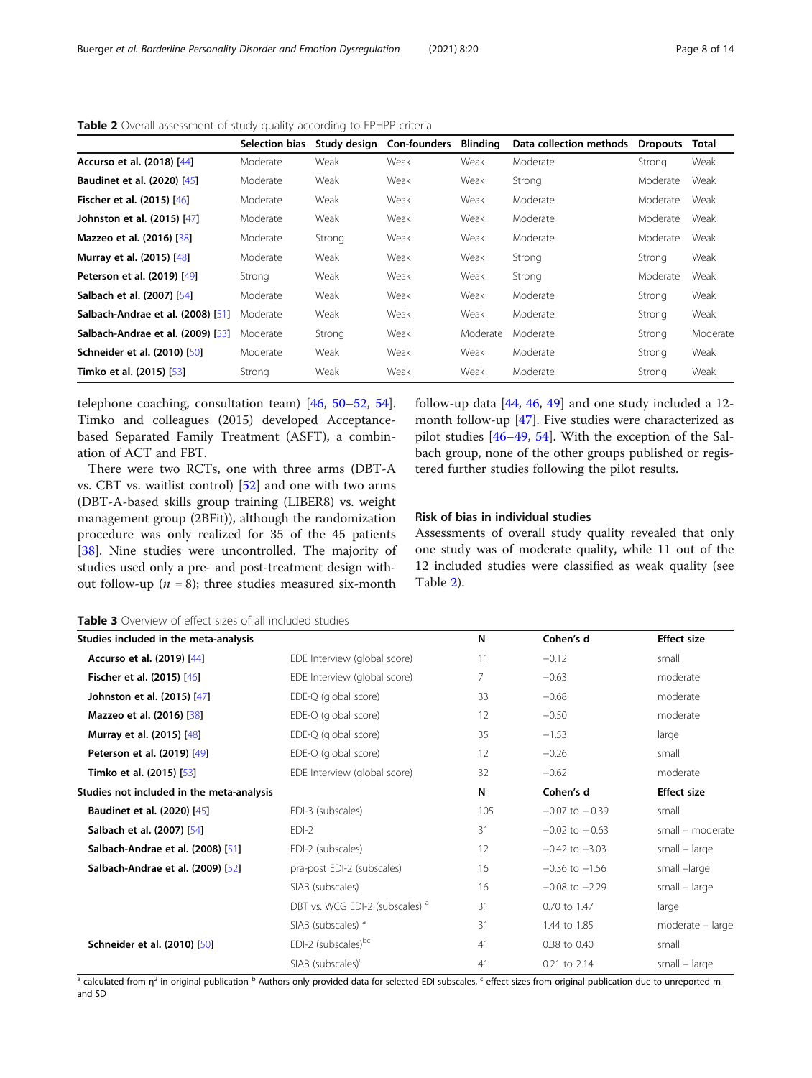|                                    | <b>Selection bias</b> | Study design | <b>Con-founders</b> | <b>Blinding</b> | Data collection methods | <b>Dropouts</b> | Total    |
|------------------------------------|-----------------------|--------------|---------------------|-----------------|-------------------------|-----------------|----------|
| Accurso et al. (2018) [44]         | Moderate              | Weak         | Weak                | Weak            | Moderate                | Strona          | Weak     |
| <b>Baudinet et al. (2020)</b> [45] | Moderate              | Weak         | Weak                | Weak            | Strong                  | Moderate        | Weak     |
| Fischer et al. (2015) [46]         | Moderate              | Weak         | Weak                | Weak            | Moderate                | Moderate        | Weak     |
| Johnston et al. (2015) [47]        | Moderate              | Weak         | Weak                | Weak            | Moderate                | Moderate        | Weak     |
| <b>Mazzeo et al. (2016)</b> [38]   | Moderate              | Strong       | Weak                | Weak            | Moderate                | Moderate        | Weak     |
| Murray et al. (2015) [48]          | Moderate              | Weak         | Weak                | Weak            | Strong                  | Strong          | Weak     |
| Peterson et al. (2019) [49]        | Strong                | Weak         | Weak                | Weak            | Strong                  | Moderate        | Weak     |
| Salbach et al. (2007) [54]         | Moderate              | Weak         | Weak                | Weak            | Moderate                | Strong          | Weak     |
| Salbach-Andrae et al. (2008) [51]  | Moderate              | Weak         | Weak                | Weak            | Moderate                | Strong          | Weak     |
| Salbach-Andrae et al. (2009) [53]  | Moderate              | Strong       | Weak                | Moderate        | Moderate                | Strong          | Moderate |
| Schneider et al. (2010) [50]       | Moderate              | Weak         | Weak                | Weak            | Moderate                | Strong          | Weak     |
| Timko et al. (2015) [53]           | Strong                | Weak         | Weak                | Weak            | Moderate                | Strong          | Weak     |

<span id="page-7-0"></span>Table 2 Overall assessment of study quality according to EPHPP criteria

telephone coaching, consultation team) [[46,](#page-12-0) [50](#page-13-0)–[52](#page-13-0), [54](#page-13-0)]. Timko and colleagues (2015) developed Acceptancebased Separated Family Treatment (ASFT), a combination of ACT and FBT.

There were two RCTs, one with three arms (DBT-A vs. CBT vs. waitlist control) [[52\]](#page-13-0) and one with two arms (DBT-A-based skills group training (LIBER8) vs. weight management group (2BFit)), although the randomization procedure was only realized for 35 of the 45 patients [[38\]](#page-12-0). Nine studies were uncontrolled. The majority of studies used only a pre- and post-treatment design without follow-up ( $n = 8$ ); three studies measured six-month follow-up data [[44,](#page-12-0) [46,](#page-12-0) [49](#page-13-0)] and one study included a 12 month follow-up [[47\]](#page-12-0). Five studies were characterized as pilot studies [[46](#page-12-0)–[49](#page-13-0), [54\]](#page-13-0). With the exception of the Salbach group, none of the other groups published or registered further studies following the pilot results.

# Risk of bias in individual studies

Assessments of overall study quality revealed that only one study was of moderate quality, while 11 out of the 12 included studies were classified as weak quality (see Table 2).

Table 3 Overview of effect sizes of all included studies

|                                           |                                            | N   | Cohen's d          | <b>Effect size</b> |
|-------------------------------------------|--------------------------------------------|-----|--------------------|--------------------|
| Studies included in the meta-analysis     |                                            |     |                    |                    |
| Accurso et al. (2019) [44]                | EDE Interview (global score)               | 11  | $-0.12$            | small              |
| Fischer et al. (2015) [46]                | EDE Interview (global score)               | 7   | $-0.63$            | moderate           |
| Johnston et al. (2015) [47]               | EDE-Q (global score)                       | 33  | $-0.68$            | moderate           |
| Mazzeo et al. (2016) [38]                 | EDE-Q (global score)                       | 12  | $-0.50$            | moderate           |
| Murray et al. (2015) [48]                 | EDE-Q (global score)                       | 35  | $-1.53$            | large              |
| <b>Peterson et al. (2019)</b> [49]        | EDE-Q (global score)                       | 12  | $-0.26$            | small              |
| Timko et al. (2015) [53]                  | EDE Interview (global score)               | 32  | $-0.62$            | moderate           |
| Studies not included in the meta-analysis |                                            | N   | Cohen's d          | <b>Effect size</b> |
| <b>Baudinet et al. (2020)</b> [45]        | EDI-3 (subscales)                          | 105 | $-0.07$ to $-0.39$ | small              |
| Salbach et al. (2007) [54]                | $EDI-2$                                    | 31  | $-0.02$ to $-0.63$ | small - moderate   |
| Salbach-Andrae et al. (2008) [51]         | EDI-2 (subscales)                          | 12  | $-0.42$ to $-3.03$ | $small - large$    |
| Salbach-Andrae et al. (2009) [52]         | prä-post EDI-2 (subscales)                 | 16  | $-0.36$ to $-1.56$ | small -large       |
|                                           | SIAB (subscales)                           | 16  | $-0.08$ to $-2.29$ | $small - large$    |
|                                           | DBT vs. WCG EDI-2 (subscales) <sup>a</sup> | 31  | 0.70 to 1.47       | large              |
|                                           | SIAB (subscales) <sup>a</sup>              | 31  | 1.44 to 1.85       | moderate - large   |
| Schneider et al. (2010) [50]              | EDI-2 (subscales)bc                        | 41  | 0.38 to 0.40       | small              |
|                                           | SIAB (subscales) <sup>c</sup>              | 41  | 0.21 to 2.14       | small - large      |

a calculated from  $\eta^2$  in original publication <sup>b</sup> Authors only provided data for selected EDI subscales, <sup>c</sup> effect sizes from original publication due to unreported m and SD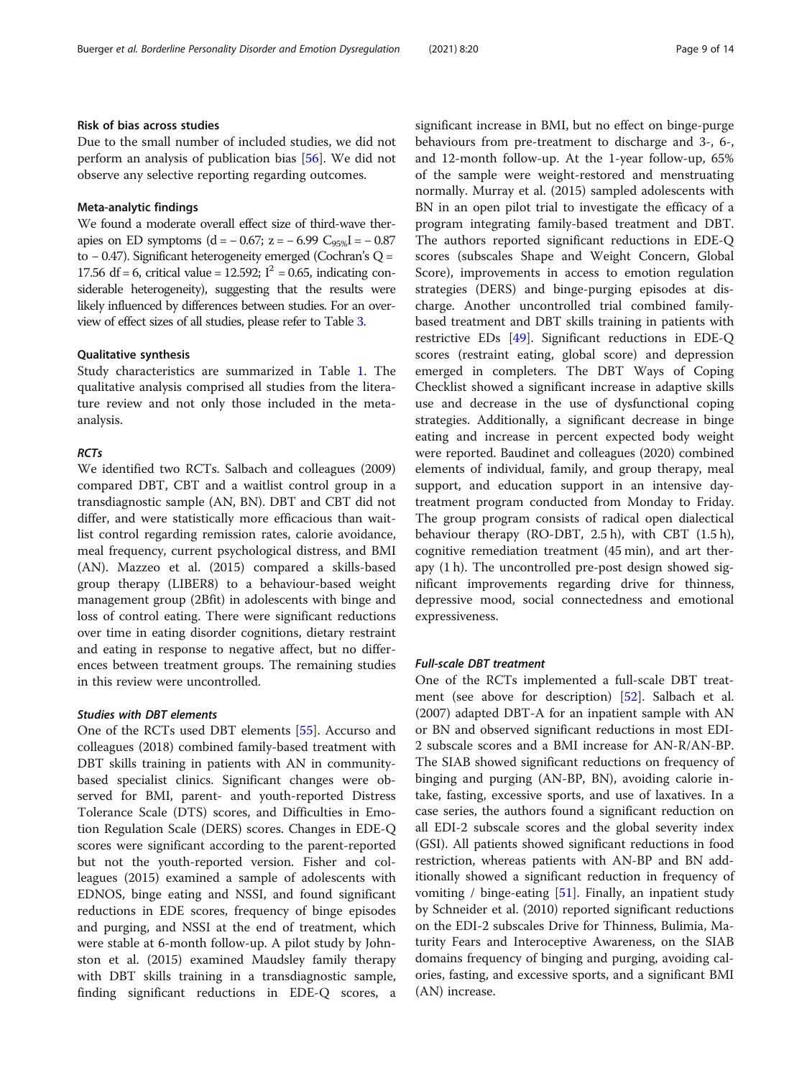# Risk of bias across studies

Due to the small number of included studies, we did not perform an analysis of publication bias [\[56\]](#page-13-0). We did not observe any selective reporting regarding outcomes.

# Meta-analytic findings

We found a moderate overall effect size of third-wave therapies on ED symptoms (d =  $-0.67$ ; z =  $-6.99$  C<sub>95%</sub>I =  $-0.87$ to − 0.47). Significant heterogeneity emerged (Cochran'sQ= 17.56 df = 6, critical value = 12.592;  $I^2$  = 0.65, indicating considerable heterogeneity), suggesting that the results were likely influenced by differences between studies. For an overview of effect sizes of all studies, please refer to Table [3.](#page-7-0)

## Qualitative synthesis

Study characteristics are summarized in Table [1](#page-5-0). The qualitative analysis comprised all studies from the literature review and not only those included in the metaanalysis.

# **RCTs**

We identified two RCTs. Salbach and colleagues (2009) compared DBT, CBT and a waitlist control group in a transdiagnostic sample (AN, BN). DBT and CBT did not differ, and were statistically more efficacious than waitlist control regarding remission rates, calorie avoidance, meal frequency, current psychological distress, and BMI (AN). Mazzeo et al. (2015) compared a skills-based group therapy (LIBER8) to a behaviour-based weight management group (2Bfit) in adolescents with binge and loss of control eating. There were significant reductions over time in eating disorder cognitions, dietary restraint and eating in response to negative affect, but no differences between treatment groups. The remaining studies in this review were uncontrolled.

# Studies with DBT elements

One of the RCTs used DBT elements [[55\]](#page-13-0). Accurso and colleagues (2018) combined family-based treatment with DBT skills training in patients with AN in communitybased specialist clinics. Significant changes were observed for BMI, parent- and youth-reported Distress Tolerance Scale (DTS) scores, and Difficulties in Emotion Regulation Scale (DERS) scores. Changes in EDE-Q scores were significant according to the parent-reported but not the youth-reported version. Fisher and colleagues (2015) examined a sample of adolescents with EDNOS, binge eating and NSSI, and found significant reductions in EDE scores, frequency of binge episodes and purging, and NSSI at the end of treatment, which were stable at 6-month follow-up. A pilot study by Johnston et al. (2015) examined Maudsley family therapy with DBT skills training in a transdiagnostic sample, finding significant reductions in EDE-Q scores, a

significant increase in BMI, but no effect on binge-purge behaviours from pre-treatment to discharge and 3-, 6-, and 12-month follow-up. At the 1-year follow-up, 65% of the sample were weight-restored and menstruating normally. Murray et al. (2015) sampled adolescents with BN in an open pilot trial to investigate the efficacy of a program integrating family-based treatment and DBT. The authors reported significant reductions in EDE-Q scores (subscales Shape and Weight Concern, Global Score), improvements in access to emotion regulation strategies (DERS) and binge-purging episodes at discharge. Another uncontrolled trial combined familybased treatment and DBT skills training in patients with restrictive EDs [\[49](#page-13-0)]. Significant reductions in EDE-Q scores (restraint eating, global score) and depression emerged in completers. The DBT Ways of Coping Checklist showed a significant increase in adaptive skills use and decrease in the use of dysfunctional coping strategies. Additionally, a significant decrease in binge eating and increase in percent expected body weight were reported. Baudinet and colleagues (2020) combined elements of individual, family, and group therapy, meal support, and education support in an intensive daytreatment program conducted from Monday to Friday. The group program consists of radical open dialectical behaviour therapy (RO-DBT, 2.5 h), with CBT (1.5 h), cognitive remediation treatment (45 min), and art therapy (1 h). The uncontrolled pre-post design showed significant improvements regarding drive for thinness, depressive mood, social connectedness and emotional expressiveness.

#### Full-scale DBT treatment

One of the RCTs implemented a full-scale DBT treatment (see above for description) [\[52\]](#page-13-0). Salbach et al. (2007) adapted DBT-A for an inpatient sample with AN or BN and observed significant reductions in most EDI-2 subscale scores and a BMI increase for AN-R/AN-BP. The SIAB showed significant reductions on frequency of binging and purging (AN-BP, BN), avoiding calorie intake, fasting, excessive sports, and use of laxatives. In a case series, the authors found a significant reduction on all EDI-2 subscale scores and the global severity index (GSI). All patients showed significant reductions in food restriction, whereas patients with AN-BP and BN additionally showed a significant reduction in frequency of vomiting / binge-eating  $[51]$ . Finally, an inpatient study by Schneider et al. (2010) reported significant reductions on the EDI-2 subscales Drive for Thinness, Bulimia, Maturity Fears and Interoceptive Awareness, on the SIAB domains frequency of binging and purging, avoiding calories, fasting, and excessive sports, and a significant BMI (AN) increase.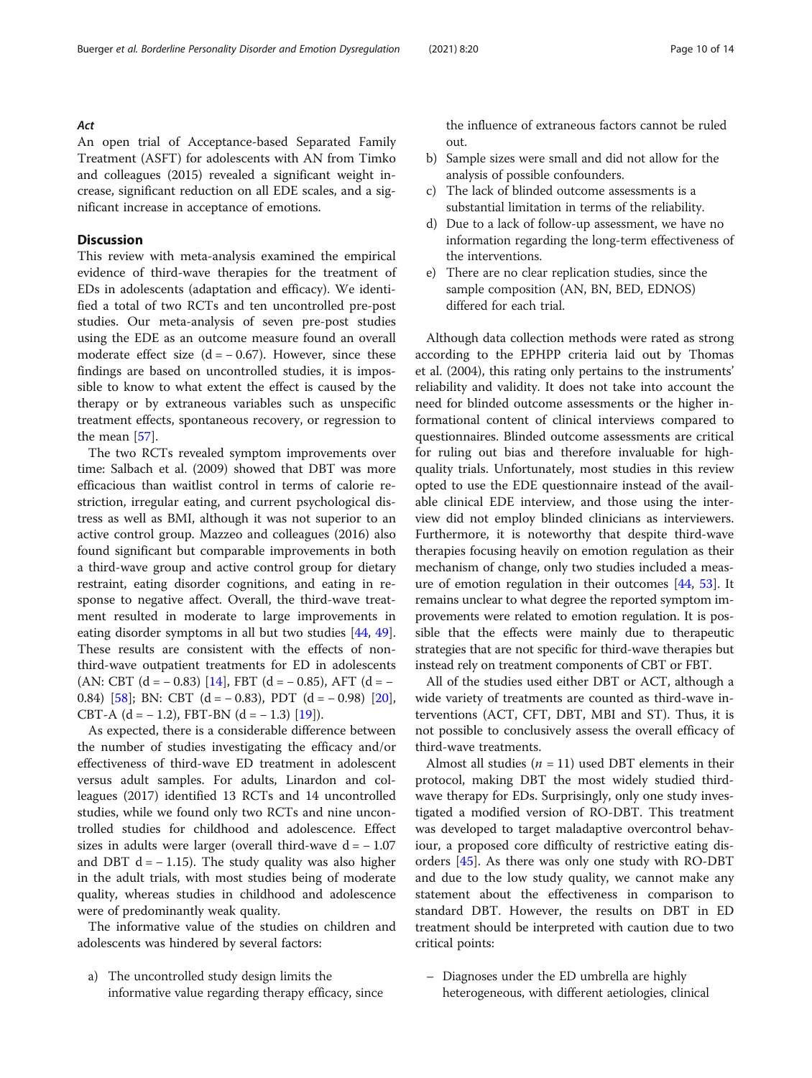#### Act

An open trial of Acceptance-based Separated Family Treatment (ASFT) for adolescents with AN from Timko and colleagues (2015) revealed a significant weight increase, significant reduction on all EDE scales, and a significant increase in acceptance of emotions.

# **Discussion**

This review with meta-analysis examined the empirical evidence of third-wave therapies for the treatment of EDs in adolescents (adaptation and efficacy). We identified a total of two RCTs and ten uncontrolled pre-post studies. Our meta-analysis of seven pre-post studies using the EDE as an outcome measure found an overall moderate effect size  $(d = -0.67)$ . However, since these findings are based on uncontrolled studies, it is impossible to know to what extent the effect is caused by the therapy or by extraneous variables such as unspecific treatment effects, spontaneous recovery, or regression to the mean [\[57\]](#page-13-0).

The two RCTs revealed symptom improvements over time: Salbach et al. (2009) showed that DBT was more efficacious than waitlist control in terms of calorie restriction, irregular eating, and current psychological distress as well as BMI, although it was not superior to an active control group. Mazzeo and colleagues (2016) also found significant but comparable improvements in both a third-wave group and active control group for dietary restraint, eating disorder cognitions, and eating in response to negative affect. Overall, the third-wave treatment resulted in moderate to large improvements in eating disorder symptoms in all but two studies [\[44](#page-12-0), [49](#page-13-0)]. These results are consistent with the effects of nonthird-wave outpatient treatments for ED in adolescents (AN: CBT (d =  $-$  0.83) [[14](#page-12-0)], FBT (d =  $-$  0.85), AFT (d =  $-$ 0.84) [\[58\]](#page-13-0); BN: CBT (d = − 0.83), PDT (d = − 0.98) [\[20](#page-12-0)], CBT-A  $(d = -1.2)$ , FBT-BN  $(d = -1.3)$  [\[19](#page-12-0)]).

As expected, there is a considerable difference between the number of studies investigating the efficacy and/or effectiveness of third-wave ED treatment in adolescent versus adult samples. For adults, Linardon and colleagues (2017) identified 13 RCTs and 14 uncontrolled studies, while we found only two RCTs and nine uncontrolled studies for childhood and adolescence. Effect sizes in adults were larger (overall third-wave  $d = -1.07$ and DBT  $d = -1.15$ ). The study quality was also higher in the adult trials, with most studies being of moderate quality, whereas studies in childhood and adolescence were of predominantly weak quality.

The informative value of the studies on children and adolescents was hindered by several factors:

a) The uncontrolled study design limits the informative value regarding therapy efficacy, since

the influence of extraneous factors cannot be ruled out.

- b) Sample sizes were small and did not allow for the analysis of possible confounders.
- c) The lack of blinded outcome assessments is a substantial limitation in terms of the reliability.
- d) Due to a lack of follow-up assessment, we have no information regarding the long-term effectiveness of the interventions.
- e) There are no clear replication studies, since the sample composition (AN, BN, BED, EDNOS) differed for each trial.

Although data collection methods were rated as strong according to the EPHPP criteria laid out by Thomas et al. (2004), this rating only pertains to the instruments' reliability and validity. It does not take into account the need for blinded outcome assessments or the higher informational content of clinical interviews compared to questionnaires. Blinded outcome assessments are critical for ruling out bias and therefore invaluable for highquality trials. Unfortunately, most studies in this review opted to use the EDE questionnaire instead of the available clinical EDE interview, and those using the interview did not employ blinded clinicians as interviewers. Furthermore, it is noteworthy that despite third-wave therapies focusing heavily on emotion regulation as their mechanism of change, only two studies included a meas-ure of emotion regulation in their outcomes [\[44](#page-12-0), [53](#page-13-0)]. It remains unclear to what degree the reported symptom improvements were related to emotion regulation. It is possible that the effects were mainly due to therapeutic strategies that are not specific for third-wave therapies but instead rely on treatment components of CBT or FBT.

All of the studies used either DBT or ACT, although a wide variety of treatments are counted as third-wave interventions (ACT, CFT, DBT, MBI and ST). Thus, it is not possible to conclusively assess the overall efficacy of third-wave treatments.

Almost all studies ( $n = 11$ ) used DBT elements in their protocol, making DBT the most widely studied thirdwave therapy for EDs. Surprisingly, only one study investigated a modified version of RO-DBT. This treatment was developed to target maladaptive overcontrol behaviour, a proposed core difficulty of restrictive eating disorders [[45](#page-12-0)]. As there was only one study with RO-DBT and due to the low study quality, we cannot make any statement about the effectiveness in comparison to standard DBT. However, the results on DBT in ED treatment should be interpreted with caution due to two critical points:

– Diagnoses under the ED umbrella are highly heterogeneous, with different aetiologies, clinical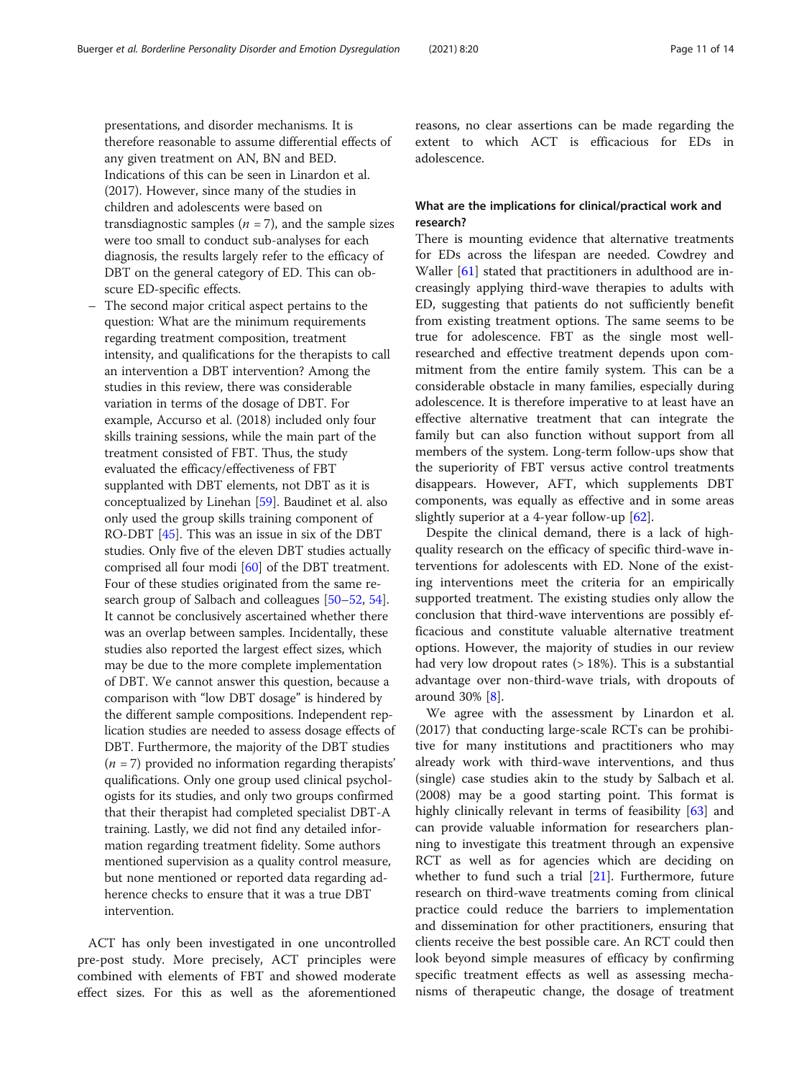presentations, and disorder mechanisms. It is therefore reasonable to assume differential effects of any given treatment on AN, BN and BED. Indications of this can be seen in Linardon et al. (2017). However, since many of the studies in children and adolescents were based on transdiagnostic samples ( $n = 7$ ), and the sample sizes were too small to conduct sub-analyses for each diagnosis, the results largely refer to the efficacy of DBT on the general category of ED. This can obscure ED-specific effects.

The second major critical aspect pertains to the question: What are the minimum requirements regarding treatment composition, treatment intensity, and qualifications for the therapists to call an intervention a DBT intervention? Among the studies in this review, there was considerable variation in terms of the dosage of DBT. For example, Accurso et al. (2018) included only four skills training sessions, while the main part of the treatment consisted of FBT. Thus, the study evaluated the efficacy/effectiveness of FBT supplanted with DBT elements, not DBT as it is conceptualized by Linehan [\[59\]](#page-13-0). Baudinet et al. also only used the group skills training component of RO-DBT [\[45\]](#page-12-0). This was an issue in six of the DBT studies. Only five of the eleven DBT studies actually comprised all four modi [[60\]](#page-13-0) of the DBT treatment. Four of these studies originated from the same research group of Salbach and colleagues [[50](#page-13-0)–[52,](#page-13-0) [54](#page-13-0)]. It cannot be conclusively ascertained whether there was an overlap between samples. Incidentally, these studies also reported the largest effect sizes, which may be due to the more complete implementation of DBT. We cannot answer this question, because a comparison with "low DBT dosage" is hindered by the different sample compositions. Independent replication studies are needed to assess dosage effects of DBT. Furthermore, the majority of the DBT studies  $(n = 7)$  provided no information regarding therapists' qualifications. Only one group used clinical psychologists for its studies, and only two groups confirmed that their therapist had completed specialist DBT-A training. Lastly, we did not find any detailed information regarding treatment fidelity. Some authors mentioned supervision as a quality control measure, but none mentioned or reported data regarding adherence checks to ensure that it was a true DBT intervention.

ACT has only been investigated in one uncontrolled pre-post study. More precisely, ACT principles were combined with elements of FBT and showed moderate effect sizes. For this as well as the aforementioned reasons, no clear assertions can be made regarding the extent to which ACT is efficacious for EDs in adolescence.

# What are the implications for clinical/practical work and research?

There is mounting evidence that alternative treatments for EDs across the lifespan are needed. Cowdrey and Waller [[61](#page-13-0)] stated that practitioners in adulthood are increasingly applying third-wave therapies to adults with ED, suggesting that patients do not sufficiently benefit from existing treatment options. The same seems to be true for adolescence. FBT as the single most wellresearched and effective treatment depends upon commitment from the entire family system. This can be a considerable obstacle in many families, especially during adolescence. It is therefore imperative to at least have an effective alternative treatment that can integrate the family but can also function without support from all members of the system. Long-term follow-ups show that the superiority of FBT versus active control treatments disappears. However, AFT, which supplements DBT components, was equally as effective and in some areas slightly superior at a 4-year follow-up [[62\]](#page-13-0).

Despite the clinical demand, there is a lack of highquality research on the efficacy of specific third-wave interventions for adolescents with ED. None of the existing interventions meet the criteria for an empirically supported treatment. The existing studies only allow the conclusion that third-wave interventions are possibly efficacious and constitute valuable alternative treatment options. However, the majority of studies in our review had very low dropout rates (> 18%). This is a substantial advantage over non-third-wave trials, with dropouts of around 30% [[8](#page-12-0)].

We agree with the assessment by Linardon et al. (2017) that conducting large-scale RCTs can be prohibitive for many institutions and practitioners who may already work with third-wave interventions, and thus (single) case studies akin to the study by Salbach et al. (2008) may be a good starting point. This format is highly clinically relevant in terms of feasibility [[63](#page-13-0)] and can provide valuable information for researchers planning to investigate this treatment through an expensive RCT as well as for agencies which are deciding on whether to fund such a trial [\[21](#page-12-0)]. Furthermore, future research on third-wave treatments coming from clinical practice could reduce the barriers to implementation and dissemination for other practitioners, ensuring that clients receive the best possible care. An RCT could then look beyond simple measures of efficacy by confirming specific treatment effects as well as assessing mechanisms of therapeutic change, the dosage of treatment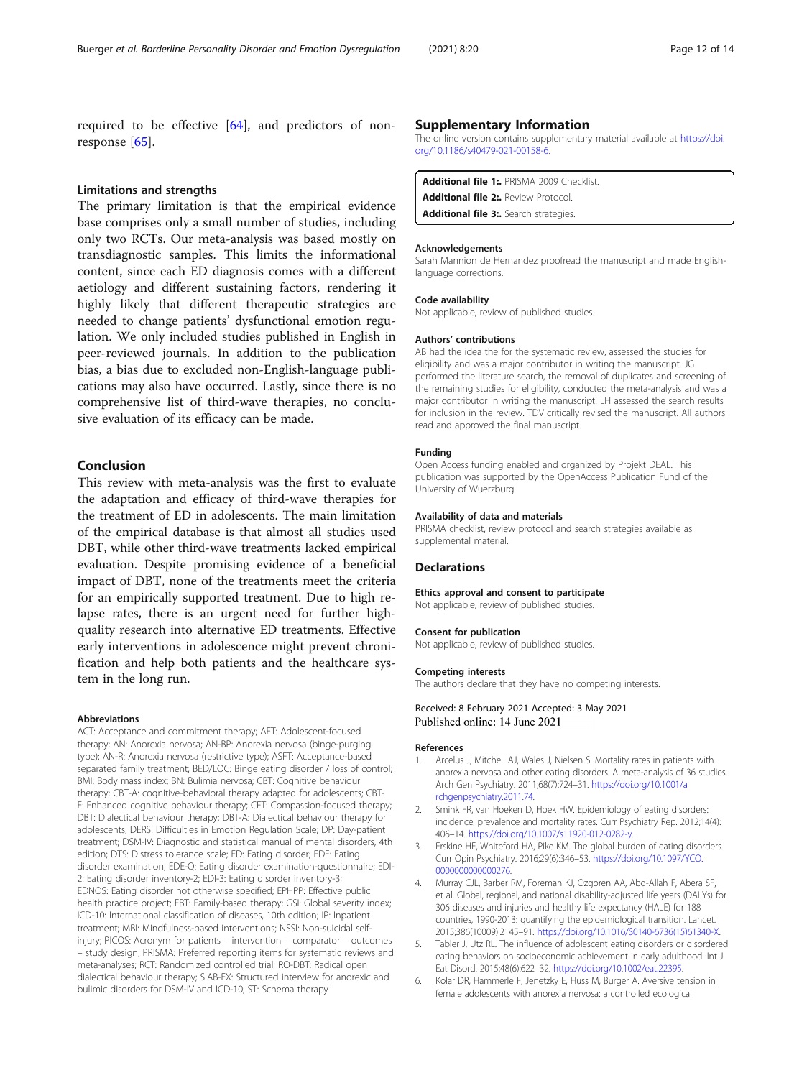<span id="page-11-0"></span>required to be effective [[64](#page-13-0)], and predictors of nonresponse [[65](#page-13-0)].

#### Limitations and strengths

The primary limitation is that the empirical evidence base comprises only a small number of studies, including only two RCTs. Our meta-analysis was based mostly on transdiagnostic samples. This limits the informational content, since each ED diagnosis comes with a different aetiology and different sustaining factors, rendering it highly likely that different therapeutic strategies are needed to change patients' dysfunctional emotion regulation. We only included studies published in English in peer-reviewed journals. In addition to the publication bias, a bias due to excluded non-English-language publications may also have occurred. Lastly, since there is no comprehensive list of third-wave therapies, no conclusive evaluation of its efficacy can be made.

# Conclusion

This review with meta-analysis was the first to evaluate the adaptation and efficacy of third-wave therapies for the treatment of ED in adolescents. The main limitation of the empirical database is that almost all studies used DBT, while other third-wave treatments lacked empirical evaluation. Despite promising evidence of a beneficial impact of DBT, none of the treatments meet the criteria for an empirically supported treatment. Due to high relapse rates, there is an urgent need for further highquality research into alternative ED treatments. Effective early interventions in adolescence might prevent chronification and help both patients and the healthcare system in the long run.

#### Abbreviations

ACT: Acceptance and commitment therapy; AFT: Adolescent-focused therapy; AN: Anorexia nervosa; AN-BP: Anorexia nervosa (binge-purging type); AN-R: Anorexia nervosa (restrictive type); ASFT: Acceptance-based separated family treatment; BED/LOC: Binge eating disorder / loss of control; BMI: Body mass index; BN: Bulimia nervosa; CBT: Cognitive behaviour therapy; CBT-A: cognitive-behavioral therapy adapted for adolescents; CBT-E: Enhanced cognitive behaviour therapy; CFT: Compassion-focused therapy; DBT: Dialectical behaviour therapy; DBT-A: Dialectical behaviour therapy for adolescents; DERS: Difficulties in Emotion Regulation Scale; DP: Day-patient treatment; DSM-IV: Diagnostic and statistical manual of mental disorders, 4th edition; DTS: Distress tolerance scale; ED: Eating disorder; EDE: Eating disorder examination; EDE-Q: Eating disorder examination-questionnaire; EDI-2: Eating disorder inventory-2; EDI-3: Eating disorder inventory-3; EDNOS: Eating disorder not otherwise specified; EPHPP: Effective public health practice project; FBT: Family-based therapy; GSI: Global severity index; ICD-10: International classification of diseases, 10th edition; IP: Inpatient treatment; MBI: Mindfulness-based interventions; NSSI: Non-suicidal selfinjury; PICOS: Acronym for patients – intervention – comparator – outcomes – study design; PRISMA: Preferred reporting items for systematic reviews and meta-analyses; RCT: Randomized controlled trial; RO-DBT: Radical open dialectical behaviour therapy; SIAB-EX: Structured interview for anorexic and bulimic disorders for DSM-IV and ICD-10; ST: Schema therapy

#### Supplementary Information

The online version contains supplementary material available at [https://doi.](https://doi.org/10.1186/s40479-021-00158-6) [org/10.1186/s40479-021-00158-6.](https://doi.org/10.1186/s40479-021-00158-6)

| Additional file 1: PRISMA 2009 Checklist.   |  |
|---------------------------------------------|--|
| <b>Additional file 2:.</b> Review Protocol. |  |
| Additional file 3: Search strategies.       |  |

#### Acknowledgements

Sarah Mannion de Hernandez proofread the manuscript and made Englishlanguage corrections.

#### Code availability

Not applicable, review of published studies.

#### Authors' contributions

AB had the idea the for the systematic review, assessed the studies for eligibility and was a major contributor in writing the manuscript. JG performed the literature search, the removal of duplicates and screening of the remaining studies for eligibility, conducted the meta-analysis and was a major contributor in writing the manuscript. LH assessed the search results for inclusion in the review. TDV critically revised the manuscript. All authors read and approved the final manuscript.

#### Funding

Open Access funding enabled and organized by Projekt DEAL. This publication was supported by the OpenAccess Publication Fund of the University of Wuerzburg.

#### Availability of data and materials

PRISMA checklist, review protocol and search strategies available as supplemental material.

#### **Declarations**

#### Ethics approval and consent to participate

Not applicable, review of published studies.

#### Consent for publication

Not applicable, review of published studies.

#### Competing interests

The authors declare that they have no competing interests.

#### Received: 8 February 2021 Accepted: 3 May 2021 Published online: 14 June 2021

#### References

- Arcelus J, Mitchell AJ, Wales J, Nielsen S. Mortality rates in patients with anorexia nervosa and other eating disorders. A meta-analysis of 36 studies. Arch Gen Psychiatry. 2011;68(7):724–31. [https://doi.org/10.1001/a](https://doi.org/10.1001/archgenpsychiatry.2011.74) [rchgenpsychiatry.2011.74](https://doi.org/10.1001/archgenpsychiatry.2011.74).
- 2. Smink FR, van Hoeken D, Hoek HW. Epidemiology of eating disorders: incidence, prevalence and mortality rates. Curr Psychiatry Rep. 2012;14(4): 406–14. [https://doi.org/10.1007/s11920-012-0282-y.](https://doi.org/10.1007/s11920-012-0282-y)
- 3. Erskine HE, Whiteford HA, Pike KM. The global burden of eating disorders. Curr Opin Psychiatry. 2016;29(6):346–53. [https://doi.org/10.1097/YCO.](https://doi.org/10.1097/YCO.0000000000000276) [0000000000000276](https://doi.org/10.1097/YCO.0000000000000276).
- 4. Murray CJL, Barber RM, Foreman KJ, Ozgoren AA, Abd-Allah F, Abera SF, et al. Global, regional, and national disability-adjusted life years (DALYs) for 306 diseases and injuries and healthy life expectancy (HALE) for 188 countries, 1990-2013: quantifying the epidemiological transition. Lancet. 2015;386(10009):2145–91. [https://doi.org/10.1016/S0140-6736\(15\)61340-X.](https://doi.org/10.1016/S0140-6736(15)61340-X)
- 5. Tabler J, Utz RL. The influence of adolescent eating disorders or disordered eating behaviors on socioeconomic achievement in early adulthood. Int J Eat Disord. 2015;48(6):622–32. <https://doi.org/10.1002/eat.22395>.
- 6. Kolar DR, Hammerle F, Jenetzky E, Huss M, Burger A. Aversive tension in female adolescents with anorexia nervosa: a controlled ecological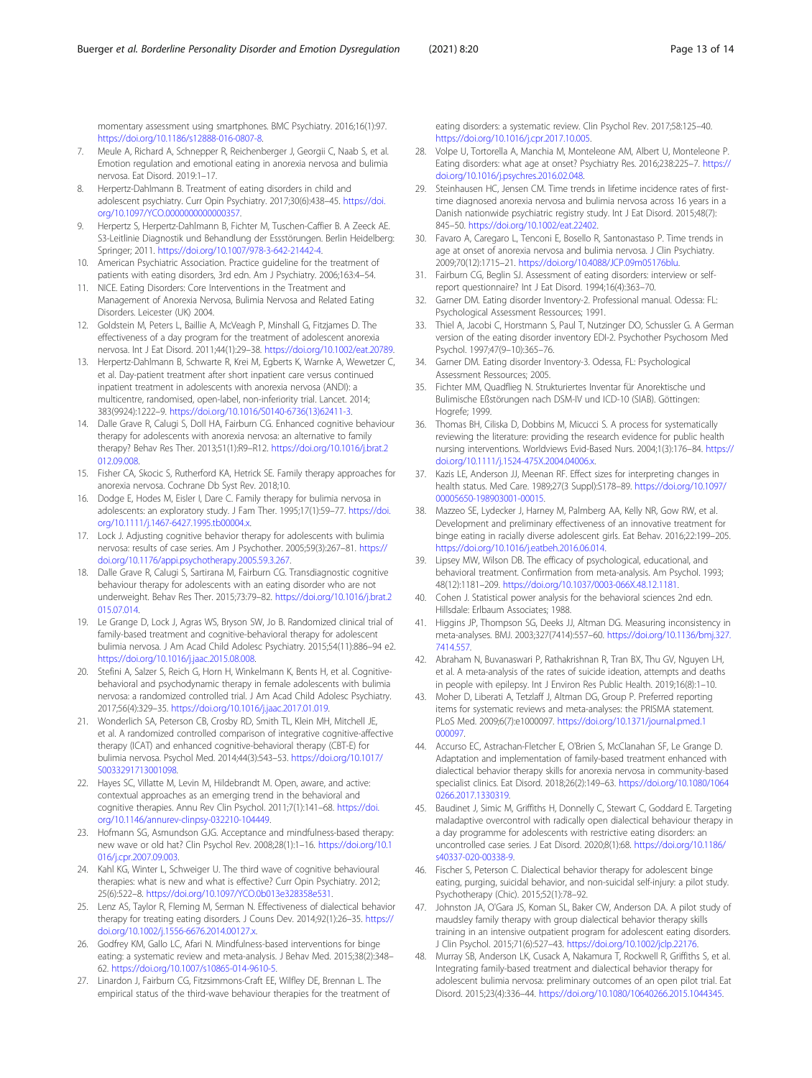<span id="page-12-0"></span>momentary assessment using smartphones. BMC Psychiatry. 2016;16(1):97. <https://doi.org/10.1186/s12888-016-0807-8>.

- 7. Meule A, Richard A, Schnepper R, Reichenberger J, Georgii C, Naab S, et al. Emotion regulation and emotional eating in anorexia nervosa and bulimia nervosa. Eat Disord. 2019:1–17.
- 8. Herpertz-Dahlmann B. Treatment of eating disorders in child and adolescent psychiatry. Curr Opin Psychiatry. 2017;30(6):438–45. [https://doi.](https://doi.org/10.1097/YCO.0000000000000357) [org/10.1097/YCO.0000000000000357](https://doi.org/10.1097/YCO.0000000000000357).
- 9. Herpertz S, Herpertz-Dahlmann B, Fichter M, Tuschen-Caffier B. A Zeeck AE. S3-Leitlinie Diagnostik und Behandlung der Essstörungen. Berlin Heidelberg: Springer; 2011. [https://doi.org/10.1007/978-3-642-21442-4.](https://doi.org/10.1007/978-3-642-21442-4)
- 10. American Psychiatric Association. Practice guideline for the treatment of patients with eating disorders, 3rd edn. Am J Psychiatry. 2006;163:4–54.
- 11. NICE. Eating Disorders: Core Interventions in the Treatment and Management of Anorexia Nervosa, Bulimia Nervosa and Related Eating Disorders. Leicester (UK) 2004.
- 12. Goldstein M, Peters L, Baillie A, McVeagh P, Minshall G, Fitzjames D. The effectiveness of a day program for the treatment of adolescent anorexia nervosa. Int J Eat Disord. 2011;44(1):29–38. <https://doi.org/10.1002/eat.20789>.
- 13. Herpertz-Dahlmann B, Schwarte R, Krei M, Egberts K, Warnke A, Wewetzer C, et al. Day-patient treatment after short inpatient care versus continued inpatient treatment in adolescents with anorexia nervosa (ANDI): a multicentre, randomised, open-label, non-inferiority trial. Lancet. 2014; 383(9924):1222–9. [https://doi.org/10.1016/S0140-6736\(13\)62411-3](https://doi.org/10.1016/S0140-6736(13)62411-3).
- 14. Dalle Grave R, Calugi S, Doll HA, Fairburn CG. Enhanced cognitive behaviour therapy for adolescents with anorexia nervosa: an alternative to family therapy? Behav Res Ther. 2013;51(1):R9–R12. [https://doi.org/10.1016/j.brat.2](https://doi.org/10.1016/j.brat.2012.09.008) [012.09.008](https://doi.org/10.1016/j.brat.2012.09.008).
- 15. Fisher CA, Skocic S, Rutherford KA, Hetrick SE. Family therapy approaches for anorexia nervosa. Cochrane Db Syst Rev. 2018;10.
- 16. Dodge E, Hodes M, Eisler I, Dare C. Family therapy for bulimia nervosa in adolescents: an exploratory study. J Fam Ther. 1995;17(1):59–77. [https://doi.](https://doi.org/10.1111/j.1467-6427.1995.tb00004.x) [org/10.1111/j.1467-6427.1995.tb00004.x](https://doi.org/10.1111/j.1467-6427.1995.tb00004.x).
- 17. Lock J. Adjusting cognitive behavior therapy for adolescents with bulimia nervosa: results of case series. Am J Psychother. 2005;59(3):267–81. [https://](https://doi.org/10.1176/appi.psychotherapy.2005.59.3.267) [doi.org/10.1176/appi.psychotherapy.2005.59.3.267.](https://doi.org/10.1176/appi.psychotherapy.2005.59.3.267)
- 18. Dalle Grave R, Calugi S, Sartirana M, Fairburn CG. Transdiagnostic cognitive behaviour therapy for adolescents with an eating disorder who are not underweight. Behav Res Ther. 2015;73:79–82. [https://doi.org/10.1016/j.brat.2](https://doi.org/10.1016/j.brat.2015.07.014) [015.07.014](https://doi.org/10.1016/j.brat.2015.07.014).
- 19. Le Grange D, Lock J, Agras WS, Bryson SW, Jo B. Randomized clinical trial of family-based treatment and cognitive-behavioral therapy for adolescent bulimia nervosa. J Am Acad Child Adolesc Psychiatry. 2015;54(11):886–94 e2. [https://doi.org/10.1016/j.jaac.2015.08.008.](https://doi.org/10.1016/j.jaac.2015.08.008)
- 20. Stefini A, Salzer S, Reich G, Horn H, Winkelmann K, Bents H, et al. Cognitivebehavioral and psychodynamic therapy in female adolescents with bulimia nervosa: a randomized controlled trial. J Am Acad Child Adolesc Psychiatry. 2017;56(4):329–35. [https://doi.org/10.1016/j.jaac.2017.01.019.](https://doi.org/10.1016/j.jaac.2017.01.019)
- 21. Wonderlich SA, Peterson CB, Crosby RD, Smith TL, Klein MH, Mitchell JE, et al. A randomized controlled comparison of integrative cognitive-affective therapy (ICAT) and enhanced cognitive-behavioral therapy (CBT-E) for bulimia nervosa. Psychol Med. 2014;44(3):543–53. [https://doi.org/10.1017/](https://doi.org/10.1017/S0033291713001098) [S0033291713001098.](https://doi.org/10.1017/S0033291713001098)
- 22. Hayes SC, Villatte M, Levin M, Hildebrandt M. Open, aware, and active: contextual approaches as an emerging trend in the behavioral and cognitive therapies. Annu Rev Clin Psychol. 2011;7(1):141–68. [https://doi.](https://doi.org/10.1146/annurev-clinpsy-032210-104449) [org/10.1146/annurev-clinpsy-032210-104449.](https://doi.org/10.1146/annurev-clinpsy-032210-104449)
- 23. Hofmann SG, Asmundson GJG. Acceptance and mindfulness-based therapy: new wave or old hat? Clin Psychol Rev. 2008;28(1):1–16. [https://doi.org/10.1](https://doi.org/10.1016/j.cpr.2007.09.003) [016/j.cpr.2007.09.003](https://doi.org/10.1016/j.cpr.2007.09.003).
- 24. Kahl KG, Winter L, Schweiger U. The third wave of cognitive behavioural therapies: what is new and what is effective? Curr Opin Psychiatry. 2012; 25(6):522–8. <https://doi.org/10.1097/YCO.0b013e328358e531>.
- 25. Lenz AS, Taylor R, Fleming M, Serman N. Effectiveness of dialectical behavior therapy for treating eating disorders. J Couns Dev. 2014;92(1):26–35. [https://](https://doi.org/10.1002/j.1556-6676.2014.00127.x) [doi.org/10.1002/j.1556-6676.2014.00127.x.](https://doi.org/10.1002/j.1556-6676.2014.00127.x)
- 26. Godfrey KM, Gallo LC, Afari N. Mindfulness-based interventions for binge eating: a systematic review and meta-analysis. J Behav Med. 2015;38(2):348– 62. <https://doi.org/10.1007/s10865-014-9610-5>.
- 27. Linardon J, Fairburn CG, Fitzsimmons-Craft EE, Wilfley DE, Brennan L. The empirical status of the third-wave behaviour therapies for the treatment of

eating disorders: a systematic review. Clin Psychol Rev. 2017;58:125–40. [https://doi.org/10.1016/j.cpr.2017.10.005.](https://doi.org/10.1016/j.cpr.2017.10.005)

- 28. Volpe U, Tortorella A, Manchia M, Monteleone AM, Albert U, Monteleone P. Eating disorders: what age at onset? Psychiatry Res. 2016;238:225–7. [https://](https://doi.org/10.1016/j.psychres.2016.02.048) [doi.org/10.1016/j.psychres.2016.02.048.](https://doi.org/10.1016/j.psychres.2016.02.048)
- 29. Steinhausen HC, Jensen CM. Time trends in lifetime incidence rates of firsttime diagnosed anorexia nervosa and bulimia nervosa across 16 years in a Danish nationwide psychiatric registry study. Int J Eat Disord. 2015;48(7): 845–50. [https://doi.org/10.1002/eat.22402.](https://doi.org/10.1002/eat.22402)
- 30. Favaro A, Caregaro L, Tenconi E, Bosello R, Santonastaso P. Time trends in age at onset of anorexia nervosa and bulimia nervosa. J Clin Psychiatry. 2009;70(12):1715–21. [https://doi.org/10.4088/JCP.09m05176blu.](https://doi.org/10.4088/JCP.09m05176blu)
- 31. Fairburn CG, Beglin SJ. Assessment of eating disorders: interview or selfreport questionnaire? Int J Eat Disord. 1994;16(4):363–70.
- 32. Garner DM. Eating disorder Inventory-2. Professional manual. Odessa: FL: Psychological Assessment Ressources; 1991.
- 33. Thiel A, Jacobi C, Horstmann S, Paul T, Nutzinger DO, Schussler G. A German version of the eating disorder inventory EDI-2. Psychother Psychosom Med Psychol. 1997;47(9–10):365–76.
- 34. Garner DM. Eating disorder Inventory-3. Odessa, FL: Psychological Assessment Ressources; 2005.
- 35. Fichter MM, Quadflieg N. Strukturiertes Inventar für Anorektische und Bulimische Eßstörungen nach DSM-IV und ICD-10 (SIAB). Göttingen: Hogrefe; 1999.
- 36. Thomas BH, Ciliska D, Dobbins M, Micucci S. A process for systematically reviewing the literature: providing the research evidence for public health nursing interventions. Worldviews Evid-Based Nurs. 2004;1(3):176–84. [https://](https://doi.org/10.1111/j.1524-475X.2004.04006.x) [doi.org/10.1111/j.1524-475X.2004.04006.x](https://doi.org/10.1111/j.1524-475X.2004.04006.x).
- Kazis LE, Anderson JJ, Meenan RF. Effect sizes for interpreting changes in health status. Med Care. 1989;27(3 Suppl):S178–89. [https://doi.org/10.1097/](https://doi.org/10.1097/00005650-198903001-00015) [00005650-198903001-00015.](https://doi.org/10.1097/00005650-198903001-00015)
- 38. Mazzeo SE, Lydecker J, Harney M, Palmberg AA, Kelly NR, Gow RW, et al. Development and preliminary effectiveness of an innovative treatment for binge eating in racially diverse adolescent girls. Eat Behav. 2016;22:199–205. [https://doi.org/10.1016/j.eatbeh.2016.06.014.](https://doi.org/10.1016/j.eatbeh.2016.06.014)
- 39. Lipsey MW, Wilson DB. The efficacy of psychological, educational, and behavioral treatment. Confirmation from meta-analysis. Am Psychol. 1993; 48(12):1181–209. [https://doi.org/10.1037/0003-066X.48.12.1181.](https://doi.org/10.1037/0003-066X.48.12.1181)
- 40. Cohen J. Statistical power analysis for the behavioral sciences 2nd edn. Hillsdale: Erlbaum Associates; 1988.
- 41. Higgins JP, Thompson SG, Deeks JJ, Altman DG. Measuring inconsistency in meta-analyses. BMJ. 2003;327(7414):557–60. [https://doi.org/10.1136/bmj.327.](https://doi.org/10.1136/bmj.327.7414.557) [7414.557.](https://doi.org/10.1136/bmj.327.7414.557)
- 42. Abraham N, Buvanaswari P, Rathakrishnan R, Tran BX, Thu GV, Nguyen LH, et al. A meta-analysis of the rates of suicide ideation, attempts and deaths in people with epilepsy. Int J Environ Res Public Health. 2019;16(8):1–10.
- 43. Moher D, Liberati A, Tetzlaff J, Altman DG, Group P. Preferred reporting items for systematic reviews and meta-analyses: the PRISMA statement. PLoS Med. 2009;6(7):e1000097. [https://doi.org/10.1371/journal.pmed.1](https://doi.org/10.1371/journal.pmed.1000097) [000097](https://doi.org/10.1371/journal.pmed.1000097).
- 44. Accurso EC, Astrachan-Fletcher E, O'Brien S, McClanahan SF, Le Grange D. Adaptation and implementation of family-based treatment enhanced with dialectical behavior therapy skills for anorexia nervosa in community-based specialist clinics. Eat Disord. 2018;26(2):149–63. [https://doi.org/10.1080/1064](https://doi.org/10.1080/10640266.2017.1330319) [0266.2017.1330319](https://doi.org/10.1080/10640266.2017.1330319).
- 45. Baudinet J, Simic M, Griffiths H, Donnelly C, Stewart C, Goddard E. Targeting maladaptive overcontrol with radically open dialectical behaviour therapy in a day programme for adolescents with restrictive eating disorders: an uncontrolled case series. J Eat Disord. 2020;8(1):68. [https://doi.org/10.1186/](https://doi.org/10.1186/s40337-020-00338-9) [s40337-020-00338-9](https://doi.org/10.1186/s40337-020-00338-9).
- 46. Fischer S, Peterson C. Dialectical behavior therapy for adolescent binge eating, purging, suicidal behavior, and non-suicidal self-injury: a pilot study. Psychotherapy (Chic). 2015;52(1):78–92.
- 47. Johnston JA, O'Gara JS, Koman SL, Baker CW, Anderson DA. A pilot study of maudsley family therapy with group dialectical behavior therapy skills training in an intensive outpatient program for adolescent eating disorders. J Clin Psychol. 2015;71(6):527–43. <https://doi.org/10.1002/jclp.22176>.
- 48. Murray SB, Anderson LK, Cusack A, Nakamura T, Rockwell R, Griffiths S, et al. Integrating family-based treatment and dialectical behavior therapy for adolescent bulimia nervosa: preliminary outcomes of an open pilot trial. Eat Disord. 2015;23(4):336–44. [https://doi.org/10.1080/10640266.2015.1044345.](https://doi.org/10.1080/10640266.2015.1044345)